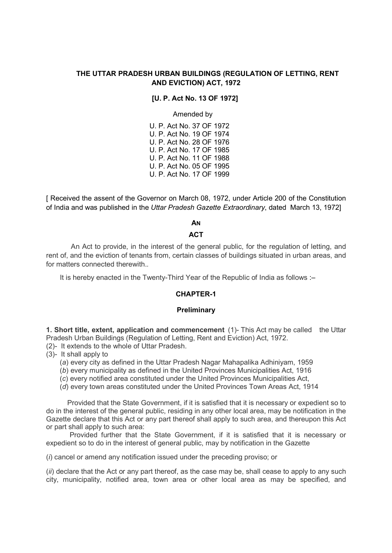# THE UTTAR PRADESH URBAN BUILDINGS (REGULATION OF LETTING, RENT AND EVICTION) ACT, 1972

#### [U. P. Act No. 13 OF 1972]

Amended by

 U. P. Act No. 37 OF 1972 U. P. Act No. 19 OF 1974 U. P. Act No. 28 OF 1976 U. P. Act No. 17 OF 1985 U. P. Act No. 11 OF 1988 U. P. Act No. 05 OF 1995 U. P. Act No. 17 OF 1999

[ Received the assent of the Governor on March 08, 1972, under Article 200 of the Constitution of India and was published in the Uttar Pradesh Gazette Extraordinary, dated March 13, 1972]

**AN** 

# **ACT**

An Act to provide, in the interest of the general public, for the regulation of letting, and rent of, and the eviction of tenants from, certain classes of buildings situated in urban areas, and for matters connected therewith

It is hereby enacted in the Twenty-Third Year of the Republic of India as follows :–

## CHAPTER-1

#### **Preliminary**

1. Short title, extent, application and commencement (1)- This Act may be called the Uttar Pradesh Urban Buildings (Regulation of Letting, Rent and Eviction) Act, 1972. (2)- It extends to the whole of Uttar Pradesh.

(3)- It shall apply to

(a) every city as defined in the Uttar Pradesh Nagar Mahapalika Adhiniyam, 1959

(b) every municipality as defined in the United Provinces Municipalities Act, 1916

(c) every notified area constituted under the United Provinces Municipalities Act,

(d) every town areas constituted under the United Provinces Town Areas Act, 1914

 Provided that the State Government, if it is satisfied that it is necessary or expedient so to do in the interest of the general public, residing in any other local area, may be notification in the Gazette declare that this Act or any part thereof shall apply to such area, and thereupon this Act or part shall apply to such area:

 Provided further that the State Government, if it is satisfied that it is necessary or expedient so to do in the interest of general public, may by notification in the Gazette

(i) cancel or amend any notification issued under the preceding proviso; or

 $(iii)$  declare that the Act or any part thereof, as the case may be, shall cease to apply to any such city, municipality, notified area, town area or other local area as may be specified, and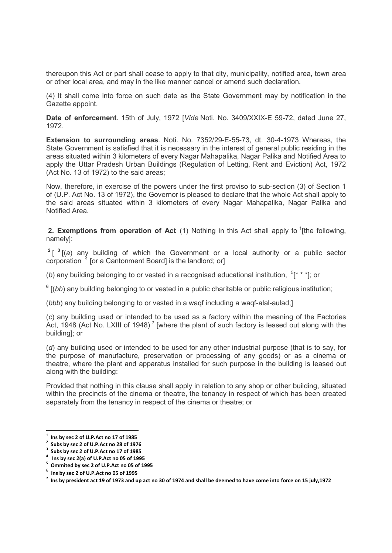thereupon this Act or part shall cease to apply to that city, municipality, notified area, town area or other local area, and may in the like manner cancel or amend such declaration.

(4) It shall come into force on such date as the State Government may by notification in the Gazette appoint.

Date of enforcement. 15th of July, 1972 [Vide Noti. No. 3409/XXIX-E 59-72, dated June 27, 1972.

Extension to surrounding areas. Noti. No. 7352/29-E-55-73, dt. 30-4-1973 Whereas, the State Government is satisfied that it is necessary in the interest of general public residing in the areas situated within 3 kilometers of every Nagar Mahapalika, Nagar Palika and Notified Area to apply the Uttar Pradesh Urban Buildings (Regulation of Letting, Rent and Eviction) Act, 1972 (Act No. 13 of 1972) to the said areas;

Now, therefore, in exercise of the powers under the first proviso to sub-section (3) of Section 1 of (U.P. Act No. 13 of 1972), the Governor is pleased to declare that the whole Act shall apply to the said areas situated within 3 kilometers of every Nagar Mahapalika, Nagar Palika and Notified Area.

**2. Exemptions from operation of Act**  $(1)$  Nothing in this Act shall apply to <sup>1</sup>[the following, namely]:

 $2^{2}$  [3] (a) any building of which the Government or a local authority or a public sector corporation  $4$  [or a Cantonment Board] is the landlord; or]

(b) any building belonging to or vested in a recognised educational institution,  $5$ <sup>\*</sup> \*\*  $\cdot$  = 1; or

 $6$  [(bb) any building belonging to or vested in a public charitable or public religious institution;

(bbb) any building belonging to or vested in a waqf including a waqf-alal-aulad;]

(c) any building used or intended to be used as a factory within the meaning of the Factories Act, 1948 (Act No. LXIII of 1948)<sup>7</sup> [where the plant of such factory is leased out along with the building]; or

(d) any building used or intended to be used for any other industrial purpose (that is to say, for the purpose of manufacture, preservation or processing of any goods) or as a cinema or theatre, where the plant and apparatus installed for such purpose in the building is leased out along with the building:

Provided that nothing in this clause shall apply in relation to any shop or other building, situated within the precincts of the cinema or theatre, the tenancy in respect of which has been created separately from the tenancy in respect of the cinema or theatre; or

 $<sup>1</sup>$  Ins by sec 2 of U.P.Act no 17 of 1985</sup>

<sup>&</sup>lt;sup>2</sup> Subs by sec 2 of U.P.Act no 28 of 1976

Subs by sec 2 of U.P.Act no 17 of 1985

<sup>4</sup> Ins by sec 2(a) of U.P.Act no 05 of 1995

<sup>&</sup>lt;sup>5</sup> Ommited by sec 2 of U.P.Act no 05 of 1995

 $^6$  Ins by sec 2 of U.P.Act no 05 of 1995

 $^7$  Ins by president act 19 of 1973 and up act no 30 of 1974 and shall be deemed to have come into force on 15 july,1972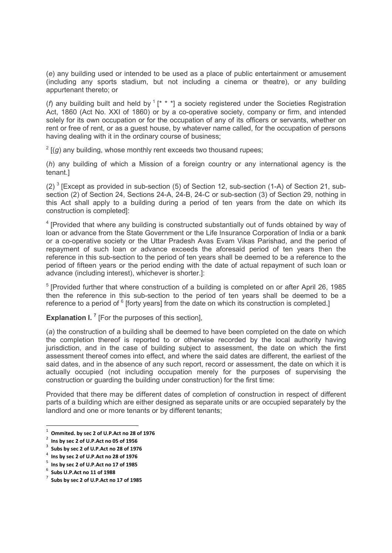(e) any building used or intended to be used as a place of public entertainment or amusement (including any sports stadium, but not including a cinema or theatre), or any building appurtenant thereto; or

(f) any building built and held by  $(1^* * )$  a society registered under the Societies Registration Act, 1860 (Act No. XXI of 1860) or by a co-operative society, company or firm, and intended solely for its own occupation or for the occupation of any of its officers or servants, whether on rent or free of rent, or as a guest house, by whatever name called, for the occupation of persons having dealing with it in the ordinary course of business;

 $2$  [(g) any building, whose monthly rent exceeds two thousand rupees;

(h) any building of which a Mission of a foreign country or any international agency is the tenant.]

(2)<sup>3</sup> [Except as provided in sub-section (5) of Section 12, sub-section (1-A) of Section 21, subsection (2) of Section 24, Sections 24-A, 24-B, 24-C or sub-section (3) of Section 29, nothing in this Act shall apply to a building during a period of ten years from the date on which its construction is completed]:

<sup>4</sup> [Provided that where any building is constructed substantially out of funds obtained by way of loan or advance from the State Government or the Life Insurance Corporation of India or a bank or a co-operative society or the Uttar Pradesh Avas Evam Vikas Parishad, and the period of repayment of such loan or advance exceeds the aforesaid period of ten years then the reference in this sub-section to the period of ten years shall be deemed to be a reference to the period of fifteen years or the period ending with the date of actual repayment of such loan or advance (including interest), whichever is shorter.]:

<sup>5</sup> [Provided further that where construction of a building is completed on or after April 26, 1985 then the reference in this sub-section to the period of ten years shall be deemed to be a reference to a period of  $6$  [forty years] from the date on which its construction is completed.]

**Explanation I.**  $^7$  [For the purposes of this section],

(a) the construction of a building shall be deemed to have been completed on the date on which the completion thereof is reported to or otherwise recorded by the local authority having jurisdiction, and in the case of building subject to assessment, the date on which the first assessment thereof comes into effect, and where the said dates are different, the earliest of the said dates, and in the absence of any such report, record or assessment, the date on which it is actually occupied (not including occupation merely for the purposes of supervising the construction or guarding the building under construction) for the first time:

Provided that there may be different dates of completion of construction in respect of different parts of a building which are either designed as separate units or are occupied separately by the landlord and one or more tenants or by different tenants;

 $\frac{1}{1}$ Ommited. by sec 2 of U.P.Act no 28 of 1976

<sup>2</sup> Ins by sec 2 of U.P.Act no 05 of 1956

 $3$  Subs by sec 2 of U.P.Act no 28 of 1976

 $^4$  Ins by sec 2 of U.P.Act no 28 of 1976

 $^5$  Ins by sec 2 of U.P.Act no 17 of 1985

 $^6$  Subs U.P.Act no 11 of 1988

<sup>7</sup> Subs by sec 2 of U.P.Act no 17 of 1985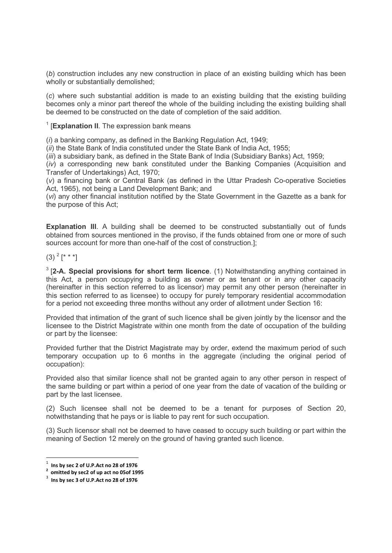(b) construction includes any new construction in place of an existing building which has been wholly or substantially demolished;

(c) where such substantial addition is made to an existing building that the existing building becomes only a minor part thereof the whole of the building including the existing building shall be deemed to be constructed on the date of completion of the said addition.

<sup>1</sup> [Explanation II. The expression bank means

 $(i)$  a banking company, as defined in the Banking Regulation Act, 1949;

(ii) the State Bank of India constituted under the State Bank of India Act, 1955;

 $(iii)$  a subsidiary bank, as defined in the State Bank of India (Subsidiary Banks) Act, 1959;

 $(i)$  a corresponding new bank constituted under the Banking Companies (Acquisition and Transfer of Undertakings) Act, 1970;

(v) a financing bank or Central Bank (as defined in the Uttar Pradesh Co-operative Societies Act, 1965), not being a Land Development Bank; and

(vi) any other financial institution notified by the State Government in the Gazette as a bank for the purpose of this Act;

Explanation III. A building shall be deemed to be constructed substantially out of funds obtained from sources mentioned in the proviso, if the funds obtained from one or more of such sources account for more than one-half of the cost of construction.];

 $(3)$   $^{2}$   $[$   $*$   $*$   $]$ 

 $3$  [2-A. Special provisions for short term licence. (1) Notwithstanding anything contained in this Act, a person occupying a building as owner or as tenant or in any other capacity (hereinafter in this section referred to as licensor) may permit any other person (hereinafter in this section referred to as licensee) to occupy for purely temporary residential accommodation for a period not exceeding three months without any order of allotment under Section 16:

Provided that intimation of the grant of such licence shall be given jointly by the licensor and the licensee to the District Magistrate within one month from the date of occupation of the building or part by the licensee:

Provided further that the District Magistrate may by order, extend the maximum period of such temporary occupation up to 6 months in the aggregate (including the original period of occupation):

Provided also that similar licence shall not be granted again to any other person in respect of the same building or part within a period of one year from the date of vacation of the building or part by the last licensee.

(2) Such licensee shall not be deemed to be a tenant for purposes of Section 20, notwithstanding that he pays or is liable to pay rent for such occupation.

(3) Such licensor shall not be deemed to have ceased to occupy such building or part within the meaning of Section 12 merely on the ground of having granted such licence.

 $\frac{1}{1}$  Ins by sec 2 of U.P.Act no 28 of 1976

 $2$  omitted by sec2 of up act no 05of 1995

 $3$  Ins by sec 3 of U.P.Act no 28 of 1976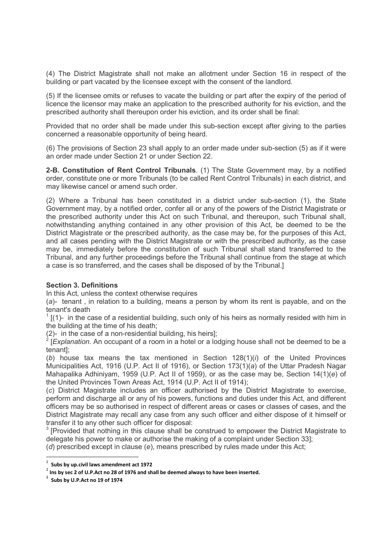(4) The District Magistrate shall not make an allotment under Section 16 in respect of the building or part vacated by the licensee except with the consent of the landlord.

(5) If the licensee omits or refuses to vacate the building or part after the expiry of the period of licence the licensor may make an application to the prescribed authority for his eviction, and the prescribed authority shall thereupon order his eviction, and its order shall be final:

Provided that no order shall be made under this sub-section except after giving to the parties concerned a reasonable opportunity of being heard.

(6) The provisions of Section 23 shall apply to an order made under sub-section (5) as if it were an order made under Section 21 or under Section 22.

2-B. Constitution of Rent Control Tribunals. (1) The State Government may, by a notified order, constitute one or more Tribunals (to be called Rent Control Tribunals) in each district, and may likewise cancel or amend such order.

(2) Where a Tribunal has been constituted in a district under sub-section (1), the State Government may, by a notified order, confer all or any of the powers of the District Magistrate or the prescribed authority under this Act on such Tribunal, and thereupon, such Tribunal shall, notwithstanding anything contained in any other provision of this Act, be deemed to be the District Magistrate or the prescribed authority, as the case may be, for the purposes of this Act, and all cases pending with the District Magistrate or with the prescribed authority, as the case may be, immediately before the constitution of such Tribunal shall stand transferred to the Tribunal, and any further proceedings before the Tribunal shall continue from the stage at which a case is so transferred, and the cases shall be disposed of by the Tribunal.]

#### Section 3. Definitions

In this Act, unless the context otherwise requires

(a)- tenant , in relation to a building, means a person by whom its rent is payable, and on the tenant's death

 $1$  [(1)- in the case of a residential building, such only of his heirs as normally resided with him in the building at the time of his death;

(2)- in the case of a non-residential building, his heirs];<br><sup>2</sup> [*Explanation.* An occupant of a room in a hotel or a lodging house shall not be deemed to be a tenant];

(b) house tax means the tax mentioned in Section  $128(1)(i)$  of the United Provinces Municipalities Act, 1916 (U.P. Act II of 1916), or Section 173(1)(a) of the Uttar Pradesh Nagar Mahapalika Adhiniyam, 1959 (U.P. Act II of 1959), or as the case may be, Section 14(1)(e) of the United Provinces Town Areas Act, 1914 (U.P. Act II of 1914);

(c) District Magistrate includes an officer authorised by the District Magistrate to exercise, perform and discharge all or any of his powers, functions and duties under this Act, and different officers may be so authorised in respect of different areas or cases or classes of cases, and the District Magistrate may recall any case from any such officer and either dispose of it himself or transfer it to any other such officer for disposal:

 $3$  [Provided that nothing in this clause shall be construed to empower the District Magistrate to delegate his power to make or authorise the making of a complaint under Section 33];

(d) prescribed except in clause (e), means prescribed by rules made under this Act;

 $^1$  Subs by up.civil laws amendment act 1972

 $^2$  Ins by sec 2 of U.P.Act no 28 of 1976 and shall be deemed always to have been inserted.

 $3$  Subs by U.P.Act no 19 of 1974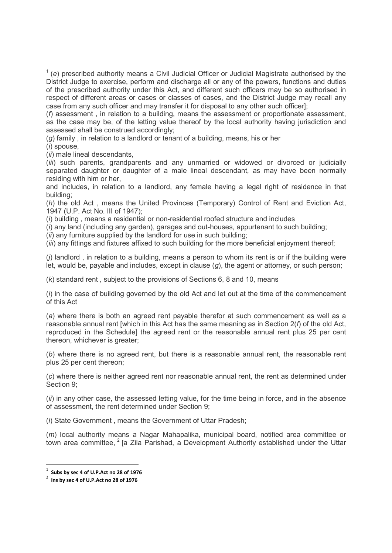$1$  (e) prescribed authority means a Civil Judicial Officer or Judicial Magistrate authorised by the District Judge to exercise, perform and discharge all or any of the powers, functions and duties of the prescribed authority under this Act, and different such officers may be so authorised in respect of different areas or cases or classes of cases, and the District Judge may recall any case from any such officer and may transfer it for disposal to any other such officer];

(f) assessment , in relation to a building, means the assessment or proportionate assessment, as the case may be, of the letting value thereof by the local authority having jurisdiction and assessed shall be construed accordingly;

(g) family , in relation to a landlord or tenant of a building, means, his or her

(i) spouse,

(*ii*) male lineal descendants,

(iii) such parents, grandparents and any unmarried or widowed or divorced or judicially separated daughter or daughter of a male lineal descendant, as may have been normally residing with him or her,

and includes, in relation to a landlord, any female having a legal right of residence in that building;

(h) the old Act , means the United Provinces (Temporary) Control of Rent and Eviction Act, 1947 (U.P. Act No. III of 1947);

(i) building , means a residential or non-residential roofed structure and includes

 $(i)$  any land (including any garden), garages and out-houses, appurtenant to such building;

 $(iii)$  any furniture supplied by the landlord for use in such building;

(iii) any fittings and fixtures affixed to such building for the more beneficial enjoyment thereof;

 $(i)$  landlord, in relation to a building, means a person to whom its rent is or if the building were let, would be, payable and includes, except in clause  $(q)$ , the agent or attorney, or such person;

(k) standard rent , subject to the provisions of Sections 6, 8 and 10, means

 $(i)$  in the case of building governed by the old Act and let out at the time of the commencement of this Act

(a) where there is both an agreed rent payable therefor at such commencement as well as a reasonable annual rent [which in this Act has the same meaning as in Section  $2(f)$  of the old Act, reproduced in the Schedule] the agreed rent or the reasonable annual rent plus 25 per cent thereon, whichever is greater;

(b) where there is no agreed rent, but there is a reasonable annual rent, the reasonable rent plus 25 per cent thereon;

(c) where there is neither agreed rent nor reasonable annual rent, the rent as determined under Section 9;

(ii) in any other case, the assessed letting value, for the time being in force, and in the absence of assessment, the rent determined under Section 9;

(I) State Government, means the Government of Uttar Pradesh;

(m) local authority means a Nagar Mahapalika, municipal board, notified area committee or town area committee,  $2$  [a Zila Parishad, a Development Authority established under the Uttar

<sup>1</sup> Subs by sec 4 of U.P.Act no 28 of 1976

 $2$  lns by sec 4 of U.P.Act no 28 of 1976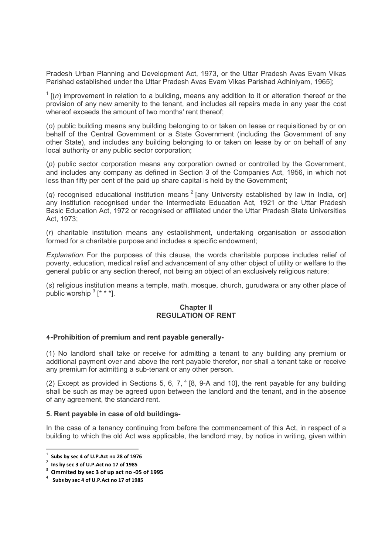Pradesh Urban Planning and Development Act, 1973, or the Uttar Pradesh Avas Evam Vikas Parishad established under the Uttar Pradesh Avas Evam Vikas Parishad Adhiniyam, 1965];

 $1$  [(n) improvement in relation to a building, means any addition to it or alteration thereof or the provision of any new amenity to the tenant, and includes all repairs made in any year the cost whereof exceeds the amount of two months' rent thereof;

(o) public building means any building belonging to or taken on lease or requisitioned by or on behalf of the Central Government or a State Government (including the Government of any other State), and includes any building belonging to or taken on lease by or on behalf of any local authority or any public sector corporation;

(p) public sector corporation means any corporation owned or controlled by the Government, and includes any company as defined in Section 3 of the Companies Act, 1956, in which not less than fifty per cent of the paid up share capital is held by the Government;

(q) recognised educational institution means  $2$  [any University established by law in India, or] any institution recognised under the Intermediate Education Act, 1921 or the Uttar Pradesh Basic Education Act, 1972 or recognised or affiliated under the Uttar Pradesh State Universities Act, 1973;

(r) charitable institution means any establishment, undertaking organisation or association formed for a charitable purpose and includes a specific endowment;

Explanation. For the purposes of this clause, the words charitable purpose includes relief of poverty, education, medical relief and advancement of any other object of utility or welfare to the general public or any section thereof, not being an object of an exclusively religious nature;

(s) religious institution means a temple, math, mosque, church, gurudwara or any other place of public worship  $3$  [\* \* \*].

## **Chapter II** REGULATION OF RENT

#### 4-Prohibition of premium and rent payable generally-

(1) No landlord shall take or receive for admitting a tenant to any building any premium or additional payment over and above the rent payable therefor, nor shall a tenant take or receive any premium for admitting a sub-tenant or any other person.

(2) Except as provided in Sections 5, 6, 7,  $4$  [8, 9-A and 10], the rent payable for any building shall be such as may be agreed upon between the landlord and the tenant, and in the absence of any agreement, the standard rent.

#### 5. Rent payable in case of old buildings-

In the case of a tenancy continuing from before the commencement of this Act, in respect of a building to which the old Act was applicable, the landlord may, by notice in writing, given within

 $^1$  Subs by sec 4 of U.P.Act no 28 of 1976

 $2$  Ins by sec 3 of U.P.Act no 17 of 1985

 $3$  Ommited by sec 3 of up act no -05 of 1995

 $^4$  Subs by sec 4 of U.P.Act no 17 of 1985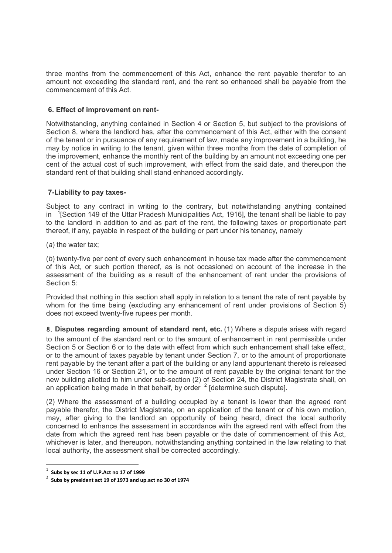three months from the commencement of this Act, enhance the rent payable therefor to an amount not exceeding the standard rent, and the rent so enhanced shall be payable from the commencement of this Act.

# 6. Effect of improvement on rent-

Notwithstanding, anything contained in Section 4 or Section 5, but subject to the provisions of Section 8, where the landlord has, after the commencement of this Act, either with the consent of the tenant or in pursuance of any requirement of law, made any improvement in a building, he may by notice in writing to the tenant, given within three months from the date of completion of the improvement, enhance the monthly rent of the building by an amount not exceeding one per cent of the actual cost of such improvement, with effect from the said date, and thereupon the standard rent of that building shall stand enhanced accordingly.

# 7-Liability to pay taxes-

Subject to any contract in writing to the contrary, but notwithstanding anything contained in  $1$ <sup>[</sup>Section 149 of the Uttar Pradesh Municipalities Act, 1916], the tenant shall be liable to pay to the landlord in addition to and as part of the rent, the following taxes or proportionate part thereof, if any, payable in respect of the building or part under his tenancy, namely

(a) the water tax;

(b) twenty-five per cent of every such enhancement in house tax made after the commencement of this Act, or such portion thereof, as is not occasioned on account of the increase in the assessment of the building as a result of the enhancement of rent under the provisions of Section 5:

Provided that nothing in this section shall apply in relation to a tenant the rate of rent payable by whom for the time being (excluding any enhancement of rent under provisions of Section 5) does not exceed twenty-five rupees per month.

8. Disputes regarding amount of standard rent, etc. (1) Where a dispute arises with regard

to the amount of the standard rent or to the amount of enhancement in rent permissible under Section 5 or Section 6 or to the date with effect from which such enhancement shall take effect, or to the amount of taxes payable by tenant under Section 7, or to the amount of proportionate rent payable by the tenant after a part of the building or any land appurtenant thereto is released under Section 16 or Section 21, or to the amount of rent payable by the original tenant for the new building allotted to him under sub-section (2) of Section 24, the District Magistrate shall, on an application being made in that behalf, by order  $2$  [determine such dispute].

(2) Where the assessment of a building occupied by a tenant is lower than the agreed rent payable therefor, the District Magistrate, on an application of the tenant or of his own motion, may, after giving to the landlord an opportunity of being heard, direct the local authority concerned to enhance the assessment in accordance with the agreed rent with effect from the date from which the agreed rent has been payable or the date of commencement of this Act, whichever is later, and thereupon, notwithstanding anything contained in the law relating to that local authority, the assessment shall be corrected accordingly.

<sup>1</sup> Subs by sec 11 of U.P.Act no 17 of 1999

 $2^{2}$  Subs by president act 19 of 1973 and up.act no 30 of 1974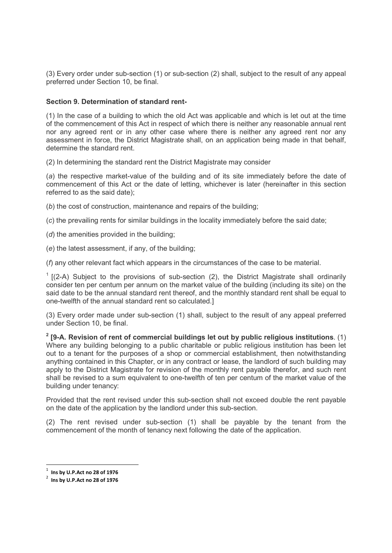(3) Every order under sub-section (1) or sub-section (2) shall, subject to the result of any appeal preferred under Section 10, be final.

## Section 9. Determination of standard rent-

(1) In the case of a building to which the old Act was applicable and which is let out at the time of the commencement of this Act in respect of which there is neither any reasonable annual rent nor any agreed rent or in any other case where there is neither any agreed rent nor any assessment in force, the District Magistrate shall, on an application being made in that behalf, determine the standard rent.

(2) In determining the standard rent the District Magistrate may consider

(a) the respective market-value of the building and of its site immediately before the date of commencement of this Act or the date of letting, whichever is later (hereinafter in this section referred to as the said date);

(b) the cost of construction, maintenance and repairs of the building:

(c) the prevailing rents for similar buildings in the locality immediately before the said date;

(d) the amenities provided in the building:

(e) the latest assessment, if any, of the building;

(f) any other relevant fact which appears in the circumstances of the case to be material.

 $1$  [(2-A) Subject to the provisions of sub-section (2), the District Magistrate shall ordinarily consider ten per centum per annum on the market value of the building (including its site) on the said date to be the annual standard rent thereof, and the monthly standard rent shall be equal to one-twelfth of the annual standard rent so calculated.]

(3) Every order made under sub-section (1) shall, subject to the result of any appeal preferred under Section 10, be final.

 $2$  [9-A. Revision of rent of commercial buildings let out by public religious institutions. (1) Where any building belonging to a public charitable or public religious institution has been let out to a tenant for the purposes of a shop or commercial establishment, then notwithstanding anything contained in this Chapter, or in any contract or lease, the landlord of such building may apply to the District Magistrate for revision of the monthly rent payable therefor, and such rent shall be revised to a sum equivalent to one-twelfth of ten per centum of the market value of the building under tenancy:

Provided that the rent revised under this sub-section shall not exceed double the rent payable on the date of the application by the landlord under this sub-section.

(2) The rent revised under sub-section (1) shall be payable by the tenant from the commencement of the month of tenancy next following the date of the application.

 $^1$  Ins by U.P.Act no 28 of 1976

 $^2$  Ins by U.P.Act no 28 of 1976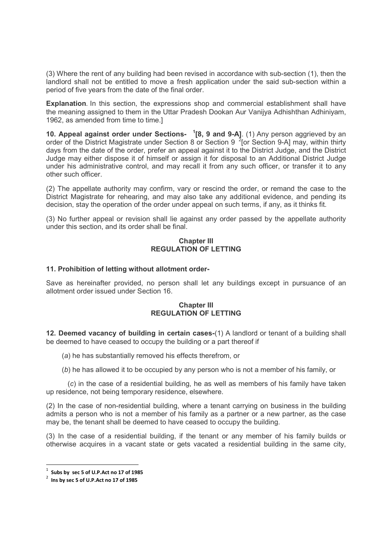(3) Where the rent of any building had been revised in accordance with sub-section (1), then the landlord shall not be entitled to move a fresh application under the said sub-section within a period of five years from the date of the final order.

Explanation. In this section, the expressions shop and commercial establishment shall have the meaning assigned to them in the Uttar Pradesh Dookan Aur Vanijya Adhishthan Adhiniyam, 1962, as amended from time to time.]

10. Appeal against order under Sections- <sup>1</sup>[8, 9 and 9-A]. (1) Any person aggrieved by an order of the District Magistrate under Section 8 or Section 9  $^2$  [or Section 9-A] may, within thirty days from the date of the order, prefer an appeal against it to the District Judge, and the District Judge may either dispose it of himself or assign it for disposal to an Additional District Judge under his administrative control, and may recall it from any such officer, or transfer it to any other such officer.

(2) The appellate authority may confirm, vary or rescind the order, or remand the case to the District Magistrate for rehearing, and may also take any additional evidence, and pending its decision, stay the operation of the order under appeal on such terms, if any, as it thinks fit.

(3) No further appeal or revision shall lie against any order passed by the appellate authority under this section, and its order shall be final.

#### **Chapter III** REGULATION OF LETTING

## 11. Prohibition of letting without allotment order-

Save as hereinafter provided, no person shall let any buildings except in pursuance of an allotment order issued under Section 16.

#### Chapter III REGULATION OF LETTING

12. Deemed vacancy of building in certain cases-(1) A landlord or tenant of a building shall be deemed to have ceased to occupy the building or a part thereof if

(a) he has substantially removed his effects therefrom, or

(b) he has allowed it to be occupied by any person who is not a member of his family, or

 (c) in the case of a residential building, he as well as members of his family have taken up residence, not being temporary residence, elsewhere.

(2) In the case of non-residential building, where a tenant carrying on business in the building admits a person who is not a member of his family as a partner or a new partner, as the case may be, the tenant shall be deemed to have ceased to occupy the building.

(3) In the case of a residential building, if the tenant or any member of his family builds or otherwise acquires in a vacant state or gets vacated a residential building in the same city,

 $^1$  Subs by sec 5 of U.P.Act no 17 of 1985

 $2$  lns by sec 5 of U.P.Act no 17 of 1985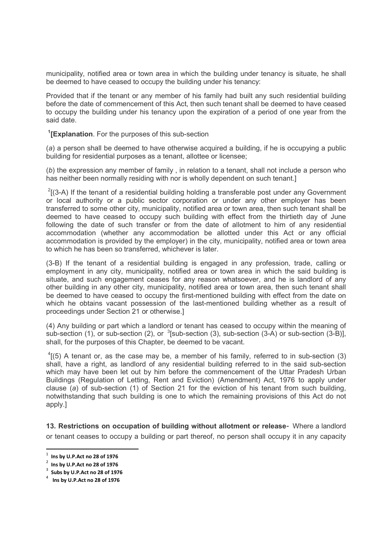municipality, notified area or town area in which the building under tenancy is situate, he shall be deemed to have ceased to occupy the building under his tenancy:

Provided that if the tenant or any member of his family had built any such residential building before the date of commencement of this Act, then such tenant shall be deemed to have ceased to occupy the building under his tenancy upon the expiration of a period of one year from the said date.

<sup>1</sup>[Explanation. For the purposes of this sub-section

(a) a person shall be deemed to have otherwise acquired a building, if he is occupying a public building for residential purposes as a tenant, allottee or licensee;

(b) the expression any member of family , in relation to a tenant, shall not include a person who has neither been normally residing with nor is wholly dependent on such tenant.]

 $2$ [(3-A) If the tenant of a residential building holding a transferable post under any Government or local authority or a public sector corporation or under any other employer has been transferred to some other city, municipality, notified area or town area, then such tenant shall be deemed to have ceased to occupy such building with effect from the thirtieth day of June following the date of such transfer or from the date of allotment to him of any residential accommodation (whether any accommodation be allotted under this Act or any official accommodation is provided by the employer) in the city, municipality, notified area or town area to which he has been so transferred, whichever is later.

(3-B) If the tenant of a residential building is engaged in any profession, trade, calling or employment in any city, municipality, notified area or town area in which the said building is situate, and such engagement ceases for any reason whatsoever, and he is landlord of any other building in any other city, municipality, notified area or town area, then such tenant shall be deemed to have ceased to occupy the first-mentioned building with effect from the date on which he obtains vacant possession of the last-mentioned building whether as a result of proceedings under Section 21 or otherwise.]

(4) Any building or part which a landlord or tenant has ceased to occupy within the meaning of sub-section (1), or sub-section (2), or  ${}^{3}$ [sub-section (3), sub-section (3-A) or sub-section (3-B)], shall, for the purposes of this Chapter, be deemed to be vacant.

 $^{4}$ [(5) A tenant or, as the case may be, a member of his family, referred to in sub-section (3) shall, have a right, as landlord of any residential building referred to in the said sub-section which may have been let out by him before the commencement of the Uttar Pradesh Urban Buildings (Regulation of Letting, Rent and Eviction) (Amendment) Act, 1976 to apply under clause (a) of sub-section (1) of Section 21 for the eviction of his tenant from such building, notwithstanding that such building is one to which the remaining provisions of this Act do not apply.]

13. Restrictions on occupation of building without allotment or release- Where a landlord or tenant ceases to occupy a building or part thereof, no person shall occupy it in any capacity

 $^1$  Ins by U.P.Act no 28 of 1976

 $2$  Ins by U.P.Act no 28 of 1976

 $3$  Subs by U.P.Act no 28 of 1976

 $^4$  Ins by U.P.Act no 28 of 1976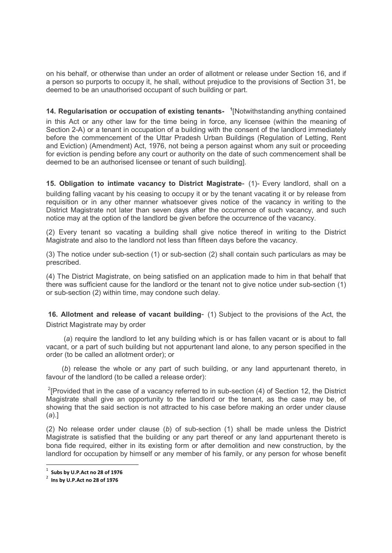on his behalf, or otherwise than under an order of allotment or release under Section 16, and if a person so purports to occupy it, he shall, without prejudice to the provisions of Section 31, be deemed to be an unauthorised occupant of such building or part.

14. Regularisation or occupation of existing tenants- <sup>1</sup>[Notwithstanding anything contained in this Act or any other law for the time being in force, any licensee (within the meaning of Section 2-A) or a tenant in occupation of a building with the consent of the landlord immediately before the commencement of the Uttar Pradesh Urban Buildings (Regulation of Letting, Rent and Eviction) (Amendment) Act, 1976, not being a person against whom any suit or proceeding for eviction is pending before any court or authority on the date of such commencement shall be deemed to be an authorised licensee or tenant of such building].

15. Obligation to intimate vacancy to District Magistrate- (1)- Every landlord, shall on a building falling vacant by his ceasing to occupy it or by the tenant vacating it or by release from requisition or in any other manner whatsoever gives notice of the vacancy in writing to the District Magistrate not later than seven days after the occurrence of such vacancy, and such notice may at the option of the landlord be given before the occurrence of the vacancy.

(2) Every tenant so vacating a building shall give notice thereof in writing to the District Magistrate and also to the landlord not less than fifteen days before the vacancy.

(3) The notice under sub-section (1) or sub-section (2) shall contain such particulars as may be prescribed.

(4) The District Magistrate, on being satisfied on an application made to him in that behalf that there was sufficient cause for the landlord or the tenant not to give notice under sub-section (1) or sub-section (2) within time, may condone such delay.

 16. Allotment and release of vacant building- (1) Subject to the provisions of the Act, the District Magistrate may by order

 (a) require the landlord to let any building which is or has fallen vacant or is about to fall vacant, or a part of such building but not appurtenant land alone, to any person specified in the order (to be called an allotment order); or

 (b) release the whole or any part of such building, or any land appurtenant thereto, in favour of the landlord (to be called a release order):

<sup>2</sup>[Provided that in the case of a vacancy referred to in sub-section (4) of Section 12, the District Magistrate shall give an opportunity to the landlord or the tenant, as the case may be, of showing that the said section is not attracted to his case before making an order under clause  $(a).$ ]

(2) No release order under clause  $(b)$  of sub-section  $(1)$  shall be made unless the District Magistrate is satisfied that the building or any part thereof or any land appurtenant thereto is bona fide required, either in its existing form or after demolition and new construction, by the landlord for occupation by himself or any member of his family, or any person for whose benefit

 $^1$  Subs by U.P.Act no 28 of 1976

 $^2$  Ins by U.P.Act no 28 of 1976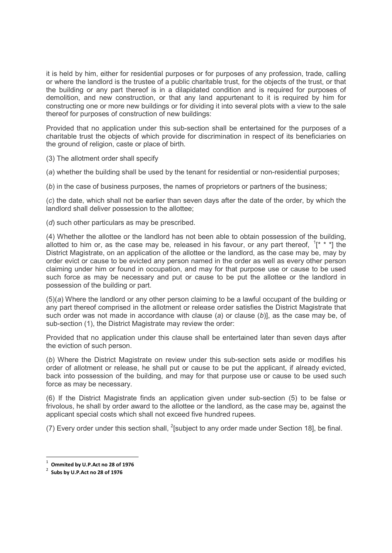it is held by him, either for residential purposes or for purposes of any profession, trade, calling or where the landlord is the trustee of a public charitable trust, for the objects of the trust, or that the building or any part thereof is in a dilapidated condition and is required for purposes of demolition, and new construction, or that any land appurtenant to it is required by him for constructing one or more new buildings or for dividing it into several plots with a view to the sale thereof for purposes of construction of new buildings:

Provided that no application under this sub-section shall be entertained for the purposes of a charitable trust the objects of which provide for discrimination in respect of its beneficiaries on the ground of religion, caste or place of birth.

(3) The allotment order shall specify

(a) whether the building shall be used by the tenant for residential or non-residential purposes;

(b) in the case of business purposes, the names of proprietors or partners of the business;

(c) the date, which shall not be earlier than seven days after the date of the order, by which the landlord shall deliver possession to the allottee;

(d) such other particulars as may be prescribed.

(4) Whether the allottee or the landlord has not been able to obtain possession of the building, allotted to him or, as the case may be, released in his favour, or any part thereof,  $1^*$  \* \*] the District Magistrate, on an application of the allottee or the landlord, as the case may be, may by order evict or cause to be evicted any person named in the order as well as every other person claiming under him or found in occupation, and may for that purpose use or cause to be used such force as may be necessary and put or cause to be put the allottee or the landlord in possession of the building or part.

(5)(a) Where the landlord or any other person claiming to be a lawful occupant of the building or any part thereof comprised in the allotment or release order satisfies the District Magistrate that such order was not made in accordance with clause (a) or clause  $(b)$ ], as the case may be, of sub-section (1), the District Magistrate may review the order:

Provided that no application under this clause shall be entertained later than seven days after the eviction of such person.

(b) Where the District Magistrate on review under this sub-section sets aside or modifies his order of allotment or release, he shall put or cause to be put the applicant, if already evicted, back into possession of the building, and may for that purpose use or cause to be used such force as may be necessary.

(6) If the District Magistrate finds an application given under sub-section (5) to be false or frivolous, he shall by order award to the allottee or the landlord, as the case may be, against the applicant special costs which shall not exceed five hundred rupees.

(7) Every order under this section shall,  $^{2}$ [subject to any order made under Section 18], be final.

 $^1$  Ommited by U.P.Act no 28 of 1976

 $2$  Subs by U.P.Act no 28 of 1976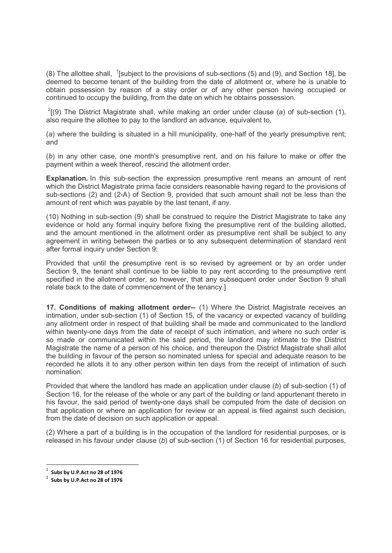(8) The allottee shall,  $\frac{1}{2}$  [subject to the provisions of sub-sections (5) and (9), and Section 18], be deemed to become tenant of the building from the date of allotment or, where he is unable to obtain possession by reason of a stay order or of any other person having occupied or continued to occupy the building, from the date on which he obtains possession.

 $2(9)$  The District Magistrate shall, while making an order under clause (a) of sub-section (1), also require the allottee to pay to the landlord an advance, equivalent to,

(a) where the building is situated in a hill municipality, one-half of the yearly presumptive rent; and

(b) in any other case, one month's presumptive rent, and on his failure to make or offer the payment within a week thereof, rescind the allotment order.

Explanation. In this sub-section the expression presumptive rent means an amount of rent which the District Magistrate prima facie considers reasonable having regard to the provisions of sub-sections (2) and (2-A) of Section 9, provided that such amount shall not be less than the amount of rent which was payable by the last tenant, if any.

(10) Nothing in sub-section (9) shall be construed to require the District Magistrate to take any evidence or hold any formal inquiry before fixing the presumptive rent of the building allotted, and the amount mentioned in the allotment order as presumptive rent shall be subject to any agreement in writing between the parties or to any subsequent determination of standard rent after formal inquiry under Section 9:

Provided that until the presumptive rent is so revised by agreement or by an order under Section 9, the tenant shall continue to be liable to pay rent according to the presumptive rent specified in the allotment order, so however, that any subsequent order under Section 9 shall relate back to the date of commencement of the tenancy.]

17. Conditions of making allotment order-- (1) Where the District Magistrate receives an intimation, under sub-section (1) of Section 15, of the vacancy or expected vacancy of building any allotment order in respect of that building shall be made and communicated to the landlord within twenty-one days from the date of receipt of such intimation, and where no such order is so made or communicated within the said period, the landlord may intimate to the District Magistrate the name of a person of his choice, and thereupon the District Magistrate shall allot the building in favour of the person so nominated unless for special and adequate reason to be recorded he allots it to any other person within ten days from the receipt of intimation of such nomination:

Provided that where the landlord has made an application under clause (b) of sub-section (1) of Section 16, for the release of the whole or any part of the building or land appurtenant thereto in his favour, the said period of twenty-one days shall be computed from the date of decision on that application or where an application for review or an appeal is filed against such decision, from the date of decision on such application or appeal.

(2) Where a part of a building is in the occupation of the landlord for residential purposes, or is released in his favour under clause  $(b)$  of sub-section  $(1)$  of Section 16 for residential purposes,

<sup>1</sup> Subs by U.P.Act no 28 of 1976

 $2^{2}$  Subs by U.P.Act no 28 of 1976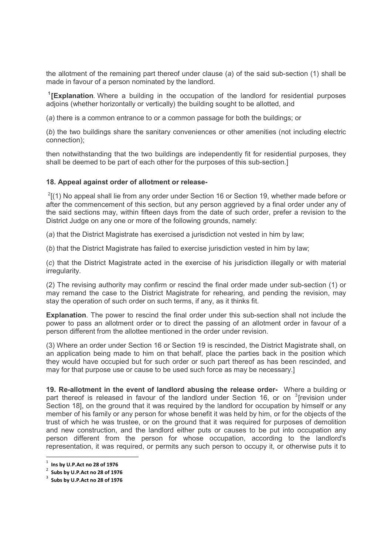the allotment of the remaining part thereof under clause (a) of the said sub-section (1) shall be made in favour of a person nominated by the landlord.

<sup>1</sup>[Explanation. Where a building in the occupation of the landlord for residential purposes adjoins (whether horizontally or vertically) the building sought to be allotted, and

(a) there is a common entrance to or a common passage for both the buildings; or

(b) the two buildings share the sanitary conveniences or other amenities (not including electric connection);

then notwithstanding that the two buildings are independently fit for residential purposes, they shall be deemed to be part of each other for the purposes of this sub-section.]

## 18. Appeal against order of allotment or release-

 $^{2}$ [(1) No appeal shall lie from any order under Section 16 or Section 19, whether made before or after the commencement of this section, but any person aggrieved by a final order under any of the said sections may, within fifteen days from the date of such order, prefer a revision to the District Judge on any one or more of the following grounds, namely:

(a) that the District Magistrate has exercised a jurisdiction not vested in him by law;

(b) that the District Magistrate has failed to exercise jurisdiction vested in him by law;

(c) that the District Magistrate acted in the exercise of his jurisdiction illegally or with material irregularity.

(2) The revising authority may confirm or rescind the final order made under sub-section (1) or may remand the case to the District Magistrate for rehearing, and pending the revision, may stay the operation of such order on such terms, if any, as it thinks fit.

Explanation. The power to rescind the final order under this sub-section shall not include the power to pass an allotment order or to direct the passing of an allotment order in favour of a person different from the allottee mentioned in the order under revision.

(3) Where an order under Section 16 or Section 19 is rescinded, the District Magistrate shall, on an application being made to him on that behalf, place the parties back in the position which they would have occupied but for such order or such part thereof as has been rescinded, and may for that purpose use or cause to be used such force as may be necessary.]

19. Re-allotment in the event of landlord abusing the release order- Where a building or part thereof is released in favour of the landlord under Section 16, or on  $3$ [revision under Section 18], on the ground that it was required by the landlord for occupation by himself or any member of his family or any person for whose benefit it was held by him, or for the objects of the trust of which he was trustee, or on the ground that it was required for purposes of demolition and new construction, and the landlord either puts or causes to be put into occupation any person different from the person for whose occupation, according to the landlord's representation, it was required, or permits any such person to occupy it, or otherwise puts it to

 $^1$  Ins by U.P.Act no 28 of 1976

 $2$  Subs by U.P.Act no 28 of 1976

 $3$  Subs by U.P.Act no 28 of 1976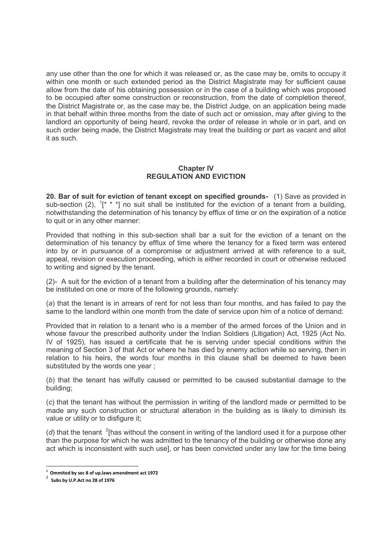any use other than the one for which it was released or, as the case may be, omits to occupy it within one month or such extended period as the District Magistrate may for sufficient cause allow from the date of his obtaining possession or in the case of a building which was proposed to be occupied after some construction or reconstruction, from the date of completion thereof, the District Magistrate or, as the case may be, the District Judge, on an application being made in that behalf within three months from the date of such act or omission, may after giving to the landlord an opportunity of being heard, revoke the order of release in whole or in part, and on such order being made, the District Magistrate may treat the building or part as vacant and allot it as such.

## Chapter IV REGULATION AND EVICTION

20. Bar of suit for eviction of tenant except on specified grounds- (1) Save as provided in sub-section (2),  $1^*$  \* \*] no suit shall be instituted for the eviction of a tenant from a building, notwithstanding the determination of his tenancy by efflux of time or on the expiration of a notice to quit or in any other manner:

Provided that nothing in this sub-section shall bar a suit for the eviction of a tenant on the determination of his tenancy by efflux of time where the tenancy for a fixed term was entered into by or in pursuance of a compromise or adjustment arrived at with reference to a suit, appeal, revision or execution proceeding, which is either recorded in court or otherwise reduced to writing and signed by the tenant.

(2)- A suit for the eviction of a tenant from a building after the determination of his tenancy may be instituted on one or more of the following grounds, namely:

(a) that the tenant is in arrears of rent for not less than four months, and has failed to pay the same to the landlord within one month from the date of service upon him of a notice of demand:

Provided that in relation to a tenant who is a member of the armed forces of the Union and in whose favour the prescribed authority under the Indian Soldiers (Litigation) Act, 1925 (Act No. IV of 1925), has issued a certificate that he is serving under special conditions within the meaning of Section 3 of that Act or where he has died by enemy action while so serving, then in relation to his heirs, the words four months in this clause shall be deemed to have been substituted by the words one year ;

(b) that the tenant has wilfully caused or permitted to be caused substantial damage to the building;

(c) that the tenant has without the permission in writing of the landlord made or permitted to be made any such construction or structural alteration in the building as is likely to diminish its value or utility or to disfigure it;

( $d$ ) that the tenant  $2$ [has without the consent in writing of the landlord used it for a purpose other than the purpose for which he was admitted to the tenancy of the building or otherwise done any act which is inconsistent with such use], or has been convicted under any law for the time being

<sup>-</sup> $1$  Ommited by sec 8 of up. laws amendment act 1972

<sup>2</sup> Subs by U.P.Act no 28 of 1976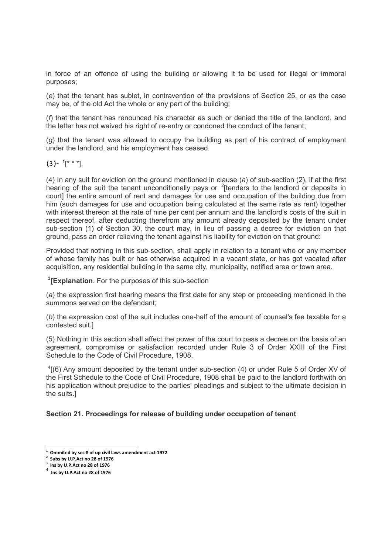in force of an offence of using the building or allowing it to be used for illegal or immoral purposes;

(e) that the tenant has sublet, in contravention of the provisions of Section 25, or as the case may be, of the old Act the whole or any part of the building;

(f) that the tenant has renounced his character as such or denied the title of the landlord, and the letter has not waived his right of re-entry or condoned the conduct of the tenant;

 $(q)$  that the tenant was allowed to occupy the building as part of his contract of employment under the landlord, and his employment has ceased.

 $(3)$ - <sup>1</sup>[\* \* \*].

(4) In any suit for eviction on the ground mentioned in clause (a) of sub-section (2), if at the first hearing of the suit the tenant unconditionally pays or  $2$ [tenders to the landlord or deposits in court] the entire amount of rent and damages for use and occupation of the building due from him (such damages for use and occupation being calculated at the same rate as rent) together with interest thereon at the rate of nine per cent per annum and the landlord's costs of the suit in respect thereof, after deducting therefrom any amount already deposited by the tenant under sub-section (1) of Section 30, the court may, in lieu of passing a decree for eviction on that ground, pass an order relieving the tenant against his liability for eviction on that ground:

Provided that nothing in this sub-section, shall apply in relation to a tenant who or any member of whose family has built or has otherwise acquired in a vacant state, or has got vacated after acquisition, any residential building in the same city, municipality, notified area or town area.

<sup>3</sup>[Explanation. For the purposes of this sub-section

(a) the expression first hearing means the first date for any step or proceeding mentioned in the summons served on the defendant;

(b) the expression cost of the suit includes one-half of the amount of counsel's fee taxable for a contested suit.]

(5) Nothing in this section shall affect the power of the court to pass a decree on the basis of an agreement, compromise or satisfaction recorded under Rule 3 of Order XXIII of the First Schedule to the Code of Civil Procedure, 1908.

 $^{4}$ [(6) Any amount deposited by the tenant under sub-section (4) or under Rule 5 of Order XV of the First Schedule to the Code of Civil Procedure, 1908 shall be paid to the landlord forthwith on his application without prejudice to the parties' pleadings and subject to the ultimate decision in the suits.]

# Section 21. Proceedings for release of building under occupation of tenant

 $1$  Ommited by sec 8 of up civil laws amendment act 1972

 $2$  Subs by U.P.Act no 28 of 1976

 $3$  Ins by U.P. Act no 28 of 1976

 $4$  Ins by U.P. Act no 28 of 1976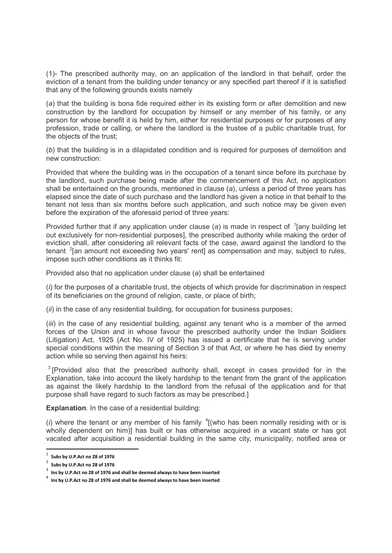(1)- The prescribed authority may, on an application of the landlord in that behalf, order the eviction of a tenant from the building under tenancy or any specified part thereof if it is satisfied that any of the following grounds exists namely

(a) that the building is bona fide required either in its existing form or after demolition and new construction by the landlord for occupation by himself or any member of his family, or any person for whose benefit it is held by him, either for residential purposes or for purposes of any profession, trade or calling, or where the landlord is the trustee of a public charitable trust, for the objects of the trust;

(b) that the building is in a dilapidated condition and is required for purposes of demolition and new construction:

Provided that where the building was in the occupation of a tenant since before its purchase by the landlord, such purchase being made after the commencement of this Act, no application shall be entertained on the grounds, mentioned in clause (a), unless a period of three years has elapsed since the date of such purchase and the landlord has given a notice in that behalf to the tenant not less than six months before such application, and such notice may be given even before the expiration of the aforesaid period of three years:

Provided further that if any application under clause (a) is made in respect of  $\frac{1}{2}$  [any building let out exclusively for non-residential purposes], the prescribed authority while making the order of eviction shall, after considering all relevant facts of the case, award against the landlord to the tenant  $2$ [an amount not exceeding two years' rent] as compensation and may, subject to rules, impose such other conditions as it thinks fit:

Provided also that no application under clause (a) shall be entertained

(i) for the purposes of a charitable trust, the objects of which provide for discrimination in respect of its beneficiaries on the ground of religion, caste, or place of birth;

 $(iii)$  in the case of any residential building, for occupation for business purposes;

(iii) in the case of any residential building, against any tenant who is a member of the armed forces of the Union and in whose favour the prescribed authority under the Indian Soldiers (Litigation) Act, 1925 (Act No. IV of 1925) has issued a certificate that he is serving under special conditions within the meaning of Section 3 of that Act, or where he has died by enemy action while so serving then against his heirs:

 $3$  [Provided also that the prescribed authority shall, except in cases provided for in the Explanation, take into account the likely hardship to the tenant from the grant of the application as against the likely hardship to the landlord from the refusal of the application and for that purpose shall have regard to such factors as may be prescribed.]

Explanation. In the case of a residential building:

(i) where the tenant or any member of his family  $\frac{4}{1}$  (who has been normally residing with or is wholly dependent on him)] has built or has otherwise acquired in a vacant state or has got vacated after acquisition a residential building in the same city, municipality, notified area or

 $1$  Subs by U.P.Act no 28 of 1976

 $\frac{2}{3}$  Subs by U.P.Act no 28 of 1976

Ins by U.P.Act no 28 of 1976 and shall be deemed always to have been inserted

 $^4$  Ins by U.P.Act no 28 of 1976 and shall be deemed always to have been inserted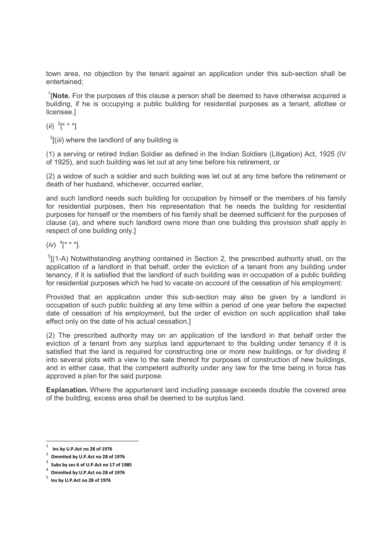town area, no objection by the tenant against an application under this sub-section shall be entertained;

 $1$ [Note. For the purposes of this clause a person shall be deemed to have otherwise acquired a building, if he is occupying a public building for residential purposes as a tenant, allottee or licensee.]

 $(ii)$   $^{2}$ [\* \* \*]

 $\frac{3}{1}$ (*iii*) where the landlord of any building is

(1) a serving or retired Indian Soldier as defined in the Indian Soldiers (Litigation) Act, 1925 (IV of 1925), and such building was let out at any time before his retirement, or

(2) a widow of such a soldier and such building was let out at any time before the retirement or death of her husband, whichever, occurred earlier,

and such landlord needs such building for occupation by himself or the members of his family for residential purposes, then his representation that he needs the building for residential purposes for himself or the members of his family shall be deemed sufficient for the purposes of clause (a), and where such landlord owns more than one building this provision shall apply in respect of one building only.]

 $(iv)$   $^{4}$   $[$ \* \*  $^{*}$ ].

 $5$ [(1-A) Notwithstanding anything contained in Section 2, the prescribed authority shall, on the application of a landlord in that behalf, order the eviction of a tenant from any building under tenancy, if it is satisfied that the landlord of such building was in occupation of a public building for residential purposes which he had to vacate on account of the cessation of his employment:

Provided that an application under this sub-section may also be given by a landlord in occupation of such public building at any time within a period of one year before the expected date of cessation of his employment, but the order of eviction on such application shall take effect only on the date of his actual cessation.]

(2) The prescribed authority may on an application of the landlord in that behalf order the eviction of a tenant from any surplus land appurtenant to the building under tenancy if it is satisfied that the land is required for constructing one or more new buildings, or for dividing it into several plots with a view to the sale thereof for purposes of construction of new buildings, and in either case, that the competent authority under any law for the time being in force has approved a plan for the said purpose.

Explanation. Where the appurtenant land including passage exceeds double the covered area of the building, excess area shall be deemed to be surplus land.

 $1$  Ins by U.P.Act no 28 of 1976

 $2$  Ommited by U.P.Act no 28 of 1976

 $3$  Subs by sec 6 of U.P.Act no 17 of 1985

<sup>4</sup> Ommited by U.P.Act no 28 of 1976

<sup>5</sup> Ins by U.P.Act no 28 of 1976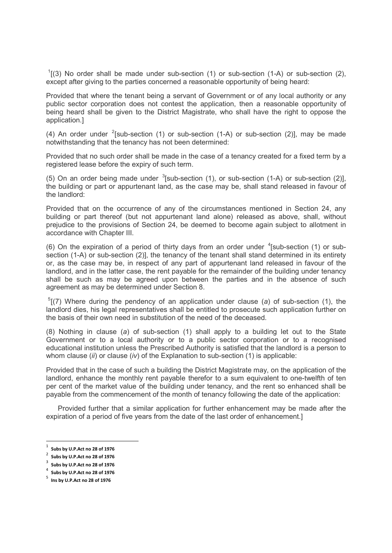$1$ [(3) No order shall be made under sub-section (1) or sub-section (1-A) or sub-section (2), except after giving to the parties concerned a reasonable opportunity of being heard:

Provided that where the tenant being a servant of Government or of any local authority or any public sector corporation does not contest the application, then a reasonable opportunity of being heard shall be given to the District Magistrate, who shall have the right to oppose the application.]

(4) An order under  $2$ [sub-section (1) or sub-section (1-A) or sub-section (2)], may be made notwithstanding that the tenancy has not been determined:

Provided that no such order shall be made in the case of a tenancy created for a fixed term by a registered lease before the expiry of such term.

(5) On an order being made under  $3$ [sub-section (1), or sub-section (1-A) or sub-section (2)], the building or part or appurtenant land, as the case may be, shall stand released in favour of the landlord:

Provided that on the occurrence of any of the circumstances mentioned in Section 24, any building or part thereof (but not appurtenant land alone) released as above, shall, without prejudice to the provisions of Section 24, be deemed to become again subject to allotment in accordance with Chapter III.

(6) On the expiration of a period of thirty days from an order under  ${}^{4}$ [sub-section (1) or subsection (1-A) or sub-section (2)], the tenancy of the tenant shall stand determined in its entirety or, as the case may be, in respect of any part of appurtenant land released in favour of the landlord, and in the latter case, the rent payable for the remainder of the building under tenancy shall be such as may be agreed upon between the parties and in the absence of such agreement as may be determined under Section 8.

 $5$ [(7) Where during the pendency of an application under clause (a) of sub-section (1), the landlord dies, his legal representatives shall be entitled to prosecute such application further on the basis of their own need in substitution of the need of the deceased.

(8) Nothing in clause (a) of sub-section (1) shall apply to a building let out to the State Government or to a local authority or to a public sector corporation or to a recognised educational institution unless the Prescribed Authority is satisfied that the landlord is a person to whom clause  $(ii)$  or clause  $(iv)$  of the Explanation to sub-section (1) is applicable:

Provided that in the case of such a building the District Magistrate may, on the application of the landlord, enhance the monthly rent payable therefor to a sum equivalent to one-twelfth of ten per cent of the market value of the building under tenancy, and the rent so enhanced shall be payable from the commencement of the month of tenancy following the date of the application:

 Provided further that a similar application for further enhancement may be made after the expiration of a period of five years from the date of the last order of enhancement.]

<sup>-</sup> $1$  Subs by U.P.Act no 28 of 1976

 $2^2$  Subs by U.P.Act no 28 of 1976

 $3$  Subs by U.P.Act no 28 of 1976

<sup>4</sup> Subs by U.P.Act no 28 of 1976

<sup>5</sup> Ins by U.P.Act no 28 of 1976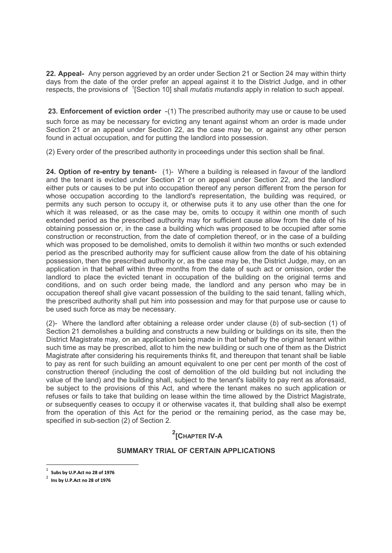22. Appeal- Any person aggrieved by an order under Section 21 or Section 24 may within thirty days from the date of the order prefer an appeal against it to the District Judge, and in other respects, the provisions of <sup>1</sup>[Section 10] shall *mutatis mutandis* apply in relation to such appeal.

23. Enforcement of eviction order -(1) The prescribed authority may use or cause to be used such force as may be necessary for evicting any tenant against whom an order is made under Section 21 or an appeal under Section 22, as the case may be, or against any other person found in actual occupation, and for putting the landlord into possession.

(2) Every order of the prescribed authority in proceedings under this section shall be final.

24. Option of re-entry by tenant- (1)- Where a building is released in favour of the landlord and the tenant is evicted under Section 21 or on appeal under Section 22, and the landlord either puts or causes to be put into occupation thereof any person different from the person for whose occupation according to the landlord's representation, the building was required, or permits any such person to occupy it, or otherwise puts it to any use other than the one for which it was released, or as the case may be, omits to occupy it within one month of such extended period as the prescribed authority may for sufficient cause allow from the date of his obtaining possession or, in the case a building which was proposed to be occupied after some construction or reconstruction, from the date of completion thereof, or in the case of a building which was proposed to be demolished, omits to demolish it within two months or such extended period as the prescribed authority may for sufficient cause allow from the date of his obtaining possession, then the prescribed authority or, as the case may be, the District Judge, may, on an application in that behalf within three months from the date of such act or omission, order the landlord to place the evicted tenant in occupation of the building on the original terms and conditions, and on such order being made, the landlord and any person who may be in occupation thereof shall give vacant possession of the building to the said tenant, falling which, the prescribed authority shall put him into possession and may for that purpose use or cause to be used such force as may be necessary.

(2)- Where the landlord after obtaining a release order under clause  $(b)$  of sub-section (1) of Section 21 demolishes a building and constructs a new building or buildings on its site, then the District Magistrate may, on an application being made in that behalf by the original tenant within such time as may be prescribed, allot to him the new building or such one of them as the District Magistrate after considering his requirements thinks fit, and thereupon that tenant shall be liable to pay as rent for such building an amount equivalent to one per cent per month of the cost of construction thereof (including the cost of demolition of the old building but not including the value of the land) and the building shall, subject to the tenant's liability to pay rent as aforesaid, be subject to the provisions of this Act, and where the tenant makes no such application or refuses or fails to take that building on lease within the time allowed by the District Magistrate, or subsequently ceases to occupy it or otherwise vacates it, that building shall also be exempt from the operation of this Act for the period or the remaining period, as the case may be, specified in sub-section (2) of Section 2.

# <sup>2</sup>[Снартеr IV-А

# SUMMARY TRIAL OF CFRTAIN APPLICATIONS

<sup>1</sup> Subs by U.P.Act no 28 of 1976

<sup>2</sup> Ins by U.P.Act no 28 of 1976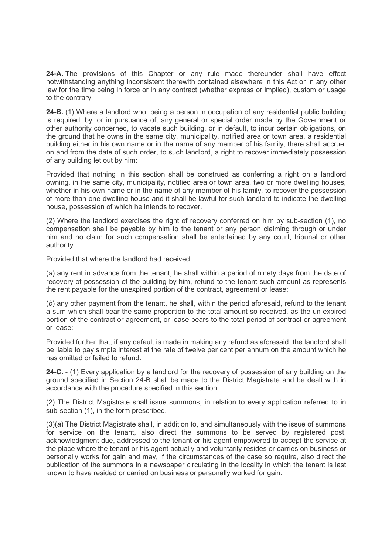24-A. The provisions of this Chapter or any rule made thereunder shall have effect notwithstanding anything inconsistent therewith contained elsewhere in this Act or in any other law for the time being in force or in any contract (whether express or implied), custom or usage to the contrary.

24-B. (1) Where a landlord who, being a person in occupation of any residential public building is required, by, or in pursuance of, any general or special order made by the Government or other authority concerned, to vacate such building, or in default, to incur certain obligations, on the ground that he owns in the same city, municipality, notified area or town area, a residential building either in his own name or in the name of any member of his family, there shall accrue, on and from the date of such order, to such landlord, a right to recover immediately possession of any building let out by him:

Provided that nothing in this section shall be construed as conferring a right on a landlord owning, in the same city, municipality, notified area or town area, two or more dwelling houses, whether in his own name or in the name of any member of his family, to recover the possession of more than one dwelling house and it shall be lawful for such landlord to indicate the dwelling house, possession of which he intends to recover.

(2) Where the landlord exercises the right of recovery conferred on him by sub-section (1), no compensation shall be payable by him to the tenant or any person claiming through or under him and no claim for such compensation shall be entertained by any court, tribunal or other authority:

Provided that where the landlord had received

(a) any rent in advance from the tenant, he shall within a period of ninety days from the date of recovery of possession of the building by him, refund to the tenant such amount as represents the rent payable for the unexpired portion of the contract, agreement or lease;

(b) any other payment from the tenant, he shall, within the period aforesaid, refund to the tenant a sum which shall bear the same proportion to the total amount so received, as the un-expired portion of the contract or agreement, or lease bears to the total period of contract or agreement or lease:

Provided further that, if any default is made in making any refund as aforesaid, the landlord shall be liable to pay simple interest at the rate of twelve per cent per annum on the amount which he has omitted or failed to refund.

24-C. - (1) Every application by a landlord for the recovery of possession of any building on the ground specified in Section 24-B shall be made to the District Magistrate and be dealt with in accordance with the procedure specified in this section.

(2) The District Magistrate shall issue summons, in relation to every application referred to in sub-section (1), in the form prescribed.

(3)(a) The District Magistrate shall, in addition to, and simultaneously with the issue of summons for service on the tenant, also direct the summons to be served by registered post, acknowledgment due, addressed to the tenant or his agent empowered to accept the service at the place where the tenant or his agent actually and voluntarily resides or carries on business or personally works for gain and may, if the circumstances of the case so require, also direct the publication of the summons in a newspaper circulating in the locality in which the tenant is last known to have resided or carried on business or personally worked for gain.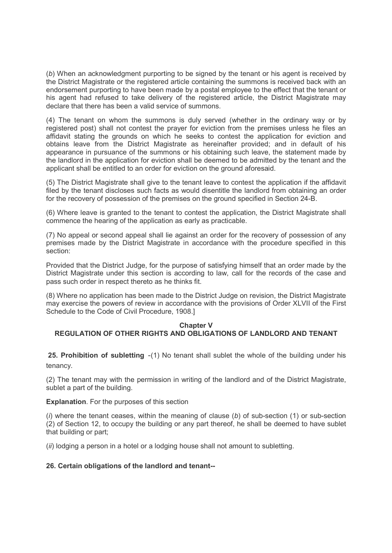(b) When an acknowledgment purporting to be signed by the tenant or his agent is received by the District Magistrate or the registered article containing the summons is received back with an endorsement purporting to have been made by a postal employee to the effect that the tenant or his agent had refused to take delivery of the registered article, the District Magistrate may declare that there has been a valid service of summons.

(4) The tenant on whom the summons is duly served (whether in the ordinary way or by registered post) shall not contest the prayer for eviction from the premises unless he files an affidavit stating the grounds on which he seeks to contest the application for eviction and obtains leave from the District Magistrate as hereinafter provided; and in default of his appearance in pursuance of the summons or his obtaining such leave, the statement made by the landlord in the application for eviction shall be deemed to be admitted by the tenant and the applicant shall be entitled to an order for eviction on the ground aforesaid.

(5) The District Magistrate shall give to the tenant leave to contest the application if the affidavit filed by the tenant discloses such facts as would disentitle the landlord from obtaining an order for the recovery of possession of the premises on the ground specified in Section 24-B.

(6) Where leave is granted to the tenant to contest the application, the District Magistrate shall commence the hearing of the application as early as practicable.

(7) No appeal or second appeal shall lie against an order for the recovery of possession of any premises made by the District Magistrate in accordance with the procedure specified in this section:

Provided that the District Judge, for the purpose of satisfying himself that an order made by the District Magistrate under this section is according to law, call for the records of the case and pass such order in respect thereto as he thinks fit.

(8) Where no application has been made to the District Judge on revision, the District Magistrate may exercise the powers of review in accordance with the provisions of Order XLVII of the First Schedule to the Code of Civil Procedure, 1908.]

# Chapter V REGULATION OF OTHER RIGHTS AND OBLIGATIONS OF LANDLORD AND TENANT

25. Prohibition of subletting -(1) No tenant shall sublet the whole of the building under his tenancy.

(2) The tenant may with the permission in writing of the landlord and of the District Magistrate, sublet a part of the building.

Explanation. For the purposes of this section

 $(i)$  where the tenant ceases, within the meaning of clause  $(b)$  of sub-section  $(1)$  or sub-section (2) of Section 12, to occupy the building or any part thereof, he shall be deemed to have sublet that building or part;

(*ii*) lodging a person in a hotel or a lodging house shall not amount to subletting.

# 26. Certain obligations of the landlord and tenant--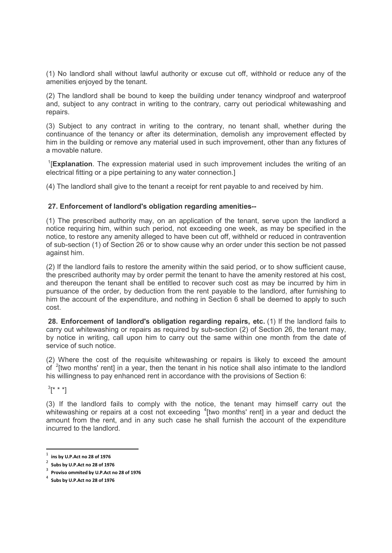(1) No landlord shall without lawful authority or excuse cut off, withhold or reduce any of the amenities enjoyed by the tenant.

(2) The landlord shall be bound to keep the building under tenancy windproof and waterproof and, subject to any contract in writing to the contrary, carry out periodical whitewashing and repairs.

(3) Subject to any contract in writing to the contrary, no tenant shall, whether during the continuance of the tenancy or after its determination, demolish any improvement effected by him in the building or remove any material used in such improvement, other than any fixtures of a movable nature.

<sup>1</sup>[Explanation. The expression material used in such improvement includes the writing of an electrical fitting or a pipe pertaining to any water connection.]

(4) The landlord shall give to the tenant a receipt for rent payable to and received by him.

## 27. Enforcement of landlord's obligation regarding amenities--

(1) The prescribed authority may, on an application of the tenant, serve upon the landlord a notice requiring him, within such period, not exceeding one week, as may be specified in the notice, to restore any amenity alleged to have been cut off, withheld or reduced in contravention of sub-section (1) of Section 26 or to show cause why an order under this section be not passed against him.

(2) If the landlord fails to restore the amenity within the said period, or to show sufficient cause, the prescribed authority may by order permit the tenant to have the amenity restored at his cost, and thereupon the tenant shall be entitled to recover such cost as may be incurred by him in pursuance of the order, by deduction from the rent payable to the landlord, after furnishing to him the account of the expenditure, and nothing in Section 6 shall be deemed to apply to such cost.

28. Enforcement of landlord's obligation regarding repairs, etc. (1) If the landlord fails to carry out whitewashing or repairs as required by sub-section (2) of Section 26, the tenant may, by notice in writing, call upon him to carry out the same within one month from the date of service of such notice.

(2) Where the cost of the requisite whitewashing or repairs is likely to exceed the amount of  $2$ [two months' rent] in a year, then the tenant in his notice shall also intimate to the landlord his willingness to pay enhanced rent in accordance with the provisions of Section 6:

 $^{3}[$ \* \*]

-

(3) If the landlord fails to comply with the notice, the tenant may himself carry out the whitewashing or repairs at a cost not exceeding  $4$ [two months' rent] in a year and deduct the amount from the rent, and in any such case he shall furnish the account of the expenditure incurred to the landlord.

 $^{\rm 1}~$  ins by U.P.Act no 28 of 1976

 $2^2$  Subs by U.P.Act no 28 of 1976

 $3$  Proviso ommited by U.P.Act no 28 of 1976

 $^4$  Subs by U.P.Act no 28 of 1976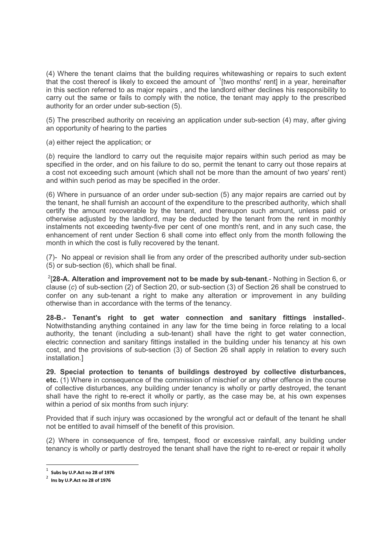(4) Where the tenant claims that the building requires whitewashing or repairs to such extent that the cost thereof is likely to exceed the amount of  $1$ [two months' rent] in a year, hereinafter in this section referred to as major repairs , and the landlord either declines his responsibility to carry out the same or fails to comply with the notice, the tenant may apply to the prescribed authority for an order under sub-section (5).

(5) The prescribed authority on receiving an application under sub-section (4) may, after giving an opportunity of hearing to the parties

(a) either reject the application; or

(b) require the landlord to carry out the requisite major repairs within such period as may be specified in the order, and on his failure to do so, permit the tenant to carry out those repairs at a cost not exceeding such amount (which shall not be more than the amount of two years' rent) and within such period as may be specified in the order.

(6) Where in pursuance of an order under sub-section (5) any major repairs are carried out by the tenant, he shall furnish an account of the expenditure to the prescribed authority, which shall certify the amount recoverable by the tenant, and thereupon such amount, unless paid or otherwise adjusted by the landlord, may be deducted by the tenant from the rent in monthly instalments not exceeding twenty-five per cent of one month's rent, and in any such case, the enhancement of rent under Section 6 shall come into effect only from the month following the month in which the cost is fully recovered by the tenant.

(7)- No appeal or revision shall lie from any order of the prescribed authority under sub-section (5) or sub-section (6), which shall be final.

 $2$ [28-A. Alteration and improvement not to be made by sub-tenant.- Nothing in Section 6, or clause (c) of sub-section (2) of Section 20, or sub-section (3) of Section 26 shall be construed to confer on any sub-tenant a right to make any alteration or improvement in any building otherwise than in accordance with the terms of the tenancy.

28-B.- Tenant's right to get water connection and sanitary fittings installed-. Notwithstanding anything contained in any law for the time being in force relating to a local authority, the tenant (including a sub-tenant) shall have the right to get water connection, electric connection and sanitary fittings installed in the building under his tenancy at his own cost, and the provisions of sub-section (3) of Section 26 shall apply in relation to every such installation.]

29. Special protection to tenants of buildings destroyed by collective disturbances, etc. (1) Where in consequence of the commission of mischief or any other offence in the course of collective disturbances, any building under tenancy is wholly or partly destroyed, the tenant shall have the right to re-erect it wholly or partly, as the case may be, at his own expenses within a period of six months from such injury:

Provided that if such injury was occasioned by the wrongful act or default of the tenant he shall not be entitled to avail himself of the benefit of this provision.

(2) Where in consequence of fire, tempest, flood or excessive rainfall, any building under tenancy is wholly or partly destroyed the tenant shall have the right to re-erect or repair it wholly

 $1$  Subs by U.P.Act no 28 of 1976

 $2$  Ins by U.P.Act no 28 of 1976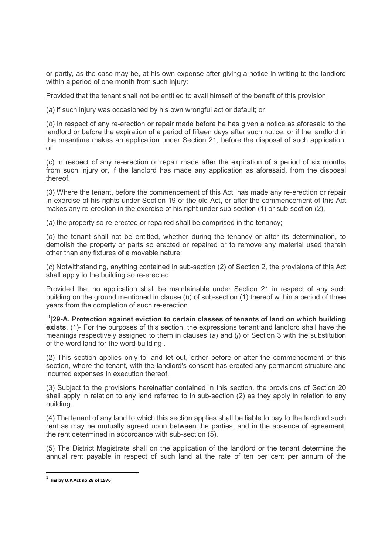or partly, as the case may be, at his own expense after giving a notice in writing to the landlord within a period of one month from such injury:

Provided that the tenant shall not be entitled to avail himself of the benefit of this provision

(a) if such injury was occasioned by his own wrongful act or default; or

(b) in respect of any re-erection or repair made before he has given a notice as aforesaid to the landlord or before the expiration of a period of fifteen days after such notice, or if the landlord in the meantime makes an application under Section 21, before the disposal of such application; or

(c) in respect of any re-erection or repair made after the expiration of a period of six months from such injury or, if the landlord has made any application as aforesaid, from the disposal thereof.

(3) Where the tenant, before the commencement of this Act, has made any re-erection or repair in exercise of his rights under Section 19 of the old Act, or after the commencement of this Act makes any re-erection in the exercise of his right under sub-section (1) or sub-section (2),

(a) the property so re-erected or repaired shall be comprised in the tenancy;

(b) the tenant shall not be entitled, whether during the tenancy or after its determination, to demolish the property or parts so erected or repaired or to remove any material used therein other than any fixtures of a movable nature;

(c) Notwithstanding, anything contained in sub-section (2) of Section 2, the provisions of this Act shall apply to the building so re-erected:

Provided that no application shall be maintainable under Section 21 in respect of any such building on the ground mentioned in clause  $(b)$  of sub-section  $(1)$  thereof within a period of three years from the completion of such re-erection.

 $1$ [29-A. Protection against eviction to certain classes of tenants of land on which building exists. (1)- For the purposes of this section, the expressions tenant and landlord shall have the meanings respectively assigned to them in clauses (a) and (i) of Section 3 with the substitution of the word land for the word building .

(2) This section applies only to land let out, either before or after the commencement of this section, where the tenant, with the landlord's consent has erected any permanent structure and incurred expenses in execution thereof.

(3) Subject to the provisions hereinafter contained in this section, the provisions of Section 20 shall apply in relation to any land referred to in sub-section (2) as they apply in relation to any building.

(4) The tenant of any land to which this section applies shall be liable to pay to the landlord such rent as may be mutually agreed upon between the parties, and in the absence of agreement, the rent determined in accordance with sub-section (5).

(5) The District Magistrate shall on the application of the landlord or the tenant determine the annual rent payable in respect of such land at the rate of ten per cent per annum of the

 $\frac{1}{1}$  Ins by U.P.Act no 28 of 1976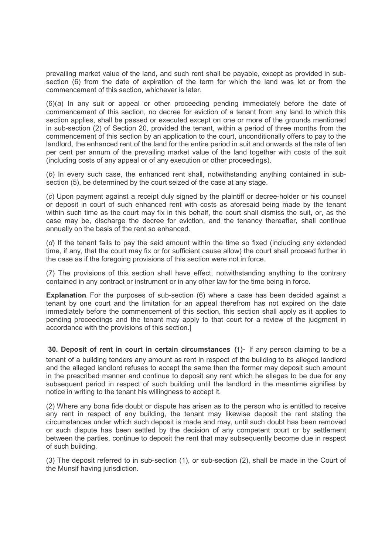prevailing market value of the land, and such rent shall be payable, except as provided in subsection (6) from the date of expiration of the term for which the land was let or from the commencement of this section, whichever is later.

(6)(a) In any suit or appeal or other proceeding pending immediately before the date of commencement of this section, no decree for eviction of a tenant from any land to which this section applies, shall be passed or executed except on one or more of the grounds mentioned in sub-section (2) of Section 20, provided the tenant, within a period of three months from the commencement of this section by an application to the court, unconditionally offers to pay to the landlord, the enhanced rent of the land for the entire period in suit and onwards at the rate of ten per cent per annum of the prevailing market value of the land together with costs of the suit (including costs of any appeal or of any execution or other proceedings).

(b) In every such case, the enhanced rent shall, notwithstanding anything contained in subsection (5), be determined by the court seized of the case at any stage.

(c) Upon payment against a receipt duly signed by the plaintiff or decree-holder or his counsel or deposit in court of such enhanced rent with costs as aforesaid being made by the tenant within such time as the court may fix in this behalf, the court shall dismiss the suit, or, as the case may be, discharge the decree for eviction, and the tenancy thereafter, shall continue annually on the basis of the rent so enhanced.

(d) If the tenant fails to pay the said amount within the time so fixed (including any extended time, if any, that the court may fix or for sufficient cause allow) the court shall proceed further in the case as if the foregoing provisions of this section were not in force.

(7) The provisions of this section shall have effect, notwithstanding anything to the contrary contained in any contract or instrument or in any other law for the time being in force.

Explanation. For the purposes of sub-section (6) where a case has been decided against a tenant by one court and the limitation for an appeal therefrom has not expired on the date immediately before the commencement of this section, this section shall apply as it applies to pending proceedings and the tenant may apply to that court for a review of the judgment in accordance with the provisions of this section.]

 30. Deposit of rent in court in certain circumstances (1)- If any person claiming to be a tenant of a building tenders any amount as rent in respect of the building to its alleged landlord and the alleged landlord refuses to accept the same then the former may deposit such amount in the prescribed manner and continue to deposit any rent which he alleges to be due for any subsequent period in respect of such building until the landlord in the meantime signifies by notice in writing to the tenant his willingness to accept it.

(2) Where any bona fide doubt or dispute has arisen as to the person who is entitled to receive any rent in respect of any building, the tenant may likewise deposit the rent stating the circumstances under which such deposit is made and may, until such doubt has been removed or such dispute has been settled by the decision of any competent court or by settlement between the parties, continue to deposit the rent that may subsequently become due in respect of such building.

(3) The deposit referred to in sub-section (1), or sub-section (2), shall be made in the Court of the Munsif having jurisdiction.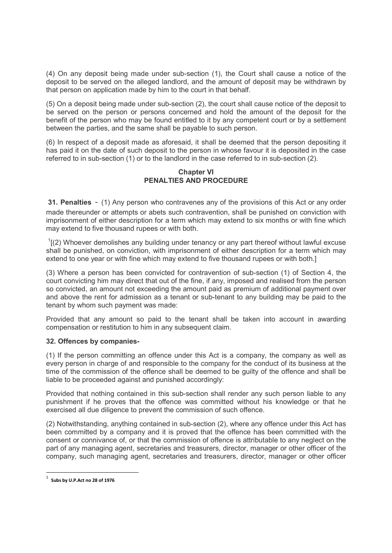(4) On any deposit being made under sub-section (1), the Court shall cause a notice of the deposit to be served on the alleged landlord, and the amount of deposit may be withdrawn by that person on application made by him to the court in that behalf.

(5) On a deposit being made under sub-section (2), the court shall cause notice of the deposit to be served on the person or persons concerned and hold the amount of the deposit for the benefit of the person who may be found entitled to it by any competent court or by a settlement between the parties, and the same shall be payable to such person.

(6) In respect of a deposit made as aforesaid, it shall be deemed that the person depositing it has paid it on the date of such deposit to the person in whose favour it is deposited in the case referred to in sub-section (1) or to the landlord in the case referred to in sub-section (2).

## Chapter VI PENALTIES AND PROCEDURE

 31. Penalties - (1) Any person who contravenes any of the provisions of this Act or any order made thereunder or attempts or abets such contravention, shall be punished on conviction with imprisonment of either description for a term which may extend to six months or with fine which may extend to five thousand rupees or with both.

 $I[(2)$  Whoever demolishes any building under tenancy or any part thereof without lawful excuse shall be punished, on conviction, with imprisonment of either description for a term which may extend to one year or with fine which may extend to five thousand rupees or with both.]

(3) Where a person has been convicted for contravention of sub-section (1) of Section 4, the court convicting him may direct that out of the fine, if any, imposed and realised from the person so convicted, an amount not exceeding the amount paid as premium of additional payment over and above the rent for admission as a tenant or sub-tenant to any building may be paid to the tenant by whom such payment was made:

Provided that any amount so paid to the tenant shall be taken into account in awarding compensation or restitution to him in any subsequent claim.

# 32. Offences by companies-

(1) If the person committing an offence under this Act is a company, the company as well as every person in charge of and responsible to the company for the conduct of its business at the time of the commission of the offence shall be deemed to be guilty of the offence and shall be liable to be proceeded against and punished accordingly:

Provided that nothing contained in this sub-section shall render any such person liable to any punishment if he proves that the offence was committed without his knowledge or that he exercised all due diligence to prevent the commission of such offence.

(2) Notwithstanding, anything contained in sub-section (2), where any offence under this Act has been committed by a company and it is proved that the offence has been committed with the consent or connivance of, or that the commission of offence is attributable to any neglect on the part of any managing agent, secretaries and treasurers, director, manager or other officer of the company, such managing agent, secretaries and treasurers, director, manager or other officer

 $\frac{1}{1}$  Subs by U.P.Act no 28 of 1976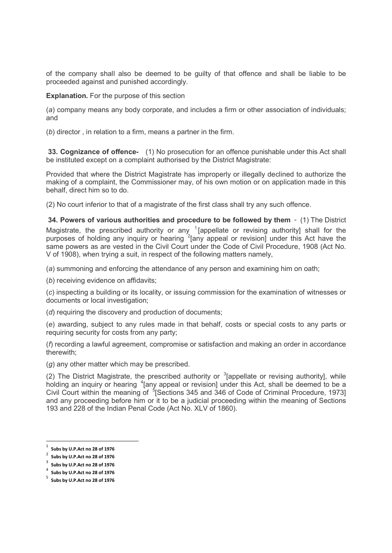of the company shall also be deemed to be guilty of that offence and shall be liable to be proceeded against and punished accordingly.

Explanation. For the purpose of this section

(a) company means any body corporate, and includes a firm or other association of individuals; and

(b) director , in relation to a firm, means a partner in the firm.

33. Cognizance of offence- (1) No prosecution for an offence punishable under this Act shall be instituted except on a complaint authorised by the District Magistrate:

Provided that where the District Magistrate has improperly or illegally declined to authorize the making of a complaint, the Commissioner may, of his own motion or on application made in this behalf, direct him so to do.

(2) No court inferior to that of a magistrate of the first class shall try any such offence.

34. Powers of various authorities and procedure to be followed by them - (1) The District Magistrate, the prescribed authority or any  $1$  [appellate or revising authority] shall for the purposes of holding any inquiry or hearing <sup>2</sup> [any appeal or revision] under this Act have the same powers as are vested in the Civil Court under the Code of Civil Procedure, 1908 (Act No. V of 1908), when trying a suit, in respect of the following matters namely,

(a) summoning and enforcing the attendance of any person and examining him on oath;

(b) receiving evidence on affidavits;

(c) inspecting a building or its locality, or issuing commission for the examination of witnesses or documents or local investigation;

(d) requiring the discovery and production of documents;

(e) awarding, subject to any rules made in that behalf, costs or special costs to any parts or requiring security for costs from any party;

(f) recording a lawful agreement, compromise or satisfaction and making an order in accordance therewith;

(g) any other matter which may be prescribed.

(2) The District Magistrate, the prescribed authority or  $3$  [appellate or revising authority], while holding an inquiry or hearing <sup>4</sup> [any appeal or revision] under this Act, shall be deemed to be a Civil Court within the meaning of  $5$ [Sections 345 and 346 of Code of Criminal Procedure, 1973] and any proceeding before him or it to be a judicial proceeding within the meaning of Sections 193 and 228 of the Indian Penal Code (Act No. XLV of 1860).

 $1$  Subs by U.P.Act no 28 of 1976

 $2^2$  Subs by U.P.Act no 28 of 1976

 $3$  Subs by U.P.Act no 28 of 1976

<sup>4</sup> Subs by U.P.Act no 28 of 1976

 $^5$  Subs by U.P.Act no 28 of 1976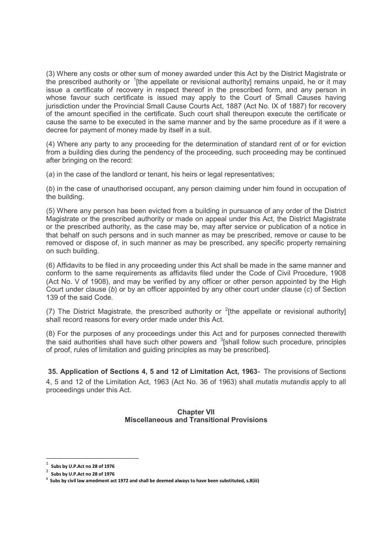(3) Where any costs or other sum of money awarded under this Act by the District Magistrate or the prescribed authority or <sup>1</sup>[the appellate or revisional authority] remains unpaid, he or it may issue a certificate of recovery in respect thereof in the prescribed form, and any person in whose favour such certificate is issued may apply to the Court of Small Causes having jurisdiction under the Provincial Small Cause Courts Act, 1887 (Act No. IX of 1887) for recovery of the amount specified in the certificate. Such court shall thereupon execute the certificate or cause the same to be executed in the same manner and by the same procedure as if it were a decree for payment of money made by itself in a suit.

(4) Where any party to any proceeding for the determination of standard rent of or for eviction from a building dies during the pendency of the proceeding, such proceeding may be continued after bringing on the record:

(a) in the case of the landlord or tenant, his heirs or legal representatives;

(b) in the case of unauthorised occupant, any person claiming under him found in occupation of the building.

(5) Where any person has been evicted from a building in pursuance of any order of the District Magistrate or the prescribed authority or made on appeal under this Act, the District Magistrate or the prescribed authority, as the case may be, may after service or publication of a notice in that behalf on such persons and in such manner as may be prescribed, remove or cause to be removed or dispose of, in such manner as may be prescribed, any specific property remaining on such building.

(6) Affidavits to be filed in any proceeding under this Act shall be made in the same manner and conform to the same requirements as affidavits filed under the Code of Civil Procedure, 1908 (Act No. V of 1908), and may be verified by any officer or other person appointed by the High Court under clause (b) or by an officer appointed by any other court under clause (c) of Section 139 of the said Code.

(7) The District Magistrate, the prescribed authority or  $2$ [the appellate or revisional authority] shall record reasons for every order made under this Act.

(8) For the purposes of any proceedings under this Act and for purposes connected therewith the said authorities shall have such other powers and  $3$ [shall follow such procedure, principles of proof, rules of limitation and guiding principles as may be prescribed].

 35. Application of Sections 4, 5 and 12 of Limitation Act, 1963- The provisions of Sections 4, 5 and 12 of the Limitation Act, 1963 (Act No. 36 of 1963) shall mutatis mutandis apply to all proceedings under this Act.

## Chapter VII Miscellaneous and Transitional Provisions

<sup>1</sup> Subs by U.P.Act no 28 of 1976

<sup>2</sup> Subs by U.P.Act no 28 of 1976

 $3$  Subs by civil law amedment act 1972 and shall be deemed always to have been substituted, s.8(iii)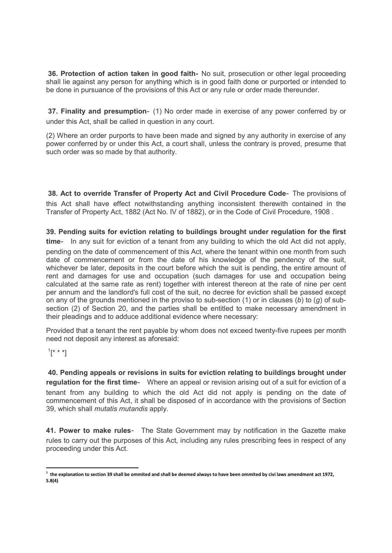36. Protection of action taken in good faith- No suit, prosecution or other legal proceeding shall lie against any person for anything which is in good faith done or purported or intended to be done in pursuance of the provisions of this Act or any rule or order made thereunder.

37. Finality and presumption- (1) No order made in exercise of any power conferred by or under this Act, shall be called in question in any court.

(2) Where an order purports to have been made and signed by any authority in exercise of any power conferred by or under this Act, a court shall, unless the contrary is proved, presume that such order was so made by that authority.

 38. Act to override Transfer of Property Act and Civil Procedure Code- The provisions of this Act shall have effect notwithstanding anything inconsistent therewith contained in the Transfer of Property Act, 1882 (Act No. IV of 1882), or in the Code of Civil Procedure, 1908 .

39. Pending suits for eviction relating to buildings brought under regulation for the first time- In any suit for eviction of a tenant from any building to which the old Act did not apply, pending on the date of commencement of this Act, where the tenant within one month from such date of commencement or from the date of his knowledge of the pendency of the suit, whichever be later, deposits in the court before which the suit is pending, the entire amount of rent and damages for use and occupation (such damages for use and occupation being calculated at the same rate as rent) together with interest thereon at the rate of nine per cent per annum and the landlord's full cost of the suit, no decree for eviction shall be passed except on any of the grounds mentioned in the proviso to sub-section (1) or in clauses (b) to (g) of subsection (2) of Section 20, and the parties shall be entitled to make necessary amendment in their pleadings and to adduce additional evidence where necessary:

Provided that a tenant the rent payable by whom does not exceed twenty-five rupees per month need not deposit any interest as aforesaid:

 $^{1}$ [\* \* \*]

-

 40. Pending appeals or revisions in suits for eviction relating to buildings brought under regulation for the first time- Where an appeal or revision arising out of a suit for eviction of a tenant from any building to which the old Act did not apply is pending on the date of commencement of this Act, it shall be disposed of in accordance with the provisions of Section 39, which shall *mutatis mutandis* apply.

41. Power to make rules- The State Government may by notification in the Gazette make rules to carry out the purposes of this Act, including any rules prescribing fees in respect of any proceeding under this Act.

 $^{\rm 1}$  the explanation to section 39 shall be ommited and shall be deemed always to have been ommited by civi laws amendment act 1972, S.8(4)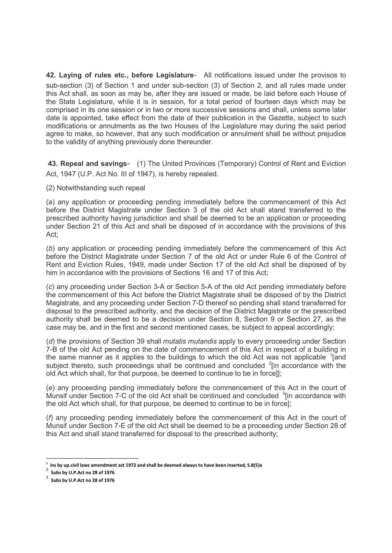42. Laying of rules etc., before Legislature- All notifications issued under the provisos to sub-section (3) of Section 1 and under sub-section (3) of Section 2, and all rules made under this Act shall, as soon as may be, after they are issued or made, be laid before each House of the State Legislature, while it is in session, for a total period of fourteen days which may be comprised in its one session or in two or more successive sessions and shall, unless some later date is appointed, take effect from the date of their publication in the Gazette, subject to such modifications or annulments as the two Houses of the Legislature may during the said period agree to make, so however, that any such modification or annulment shall be without prejudice to the validity of anything previously done thereunder.

 43. Repeal and savings- (1) The United Provinces (Temporary) Control of Rent and Eviction Act, 1947 (U.P. Act No. III of 1947), is hereby repealed.

(2) Notwithstanding such repeal

(a) any application or proceeding pending immediately before the commencement of this Act before the District Magistrate under Section 3 of the old Act shall stand transferred to the prescribed authority having jurisdiction and shall be deemed to be an application or proceeding under Section 21 of this Act and shall be disposed of in accordance with the provisions of this Act;

(b) any application or proceeding pending immediately before the commencement of this Act before the District Magistrate under Section 7 of the old Act or under Rule 6 of the Control of Rent and Eviction Rules, 1949, made under Section 17 of the old Act shall be disposed of by him in accordance with the provisions of Sections 16 and 17 of this Act;

(c) any proceeding under Section 3-A or Section 5-A of the old Act pending immediately before the commencement of this Act before the District Magistrate shall be disposed of by the District Magistrate, and any proceeding under Section 7-D thereof so pending shall stand transferred for disposal to the prescribed authority, and the decision of the District Magistrate or the prescribed authority shall be deemed to be a decision under Section 8, Section 9 or Section 27, as the case may be, and in the first and second mentioned cases, be subject to appeal accordingly;

(d) the provisions of Section 39 shall *mutatis mutandis* apply to every proceeding under Section 7-B of the old Act pending on the date of commencement of this Act in respect of a building in the same manner as it applies to the buildings to which the old Act was not applicable  $\frac{1}{2}$  and subject thereto, such proceedings shall be continued and concluded  $2$ [in accordance with the old Act which shall, for that purpose, be deemed to continue to be in force]];

(e) any proceeding pending immediately before the commencement of this Act in the court of Munsif under Section 7-C of the old Act shall be continued and concluded  $3$ [in accordance with the old Act which shall, for that purpose, be deemed to continue to be in force];

(f) any proceeding pending immediately before the commencement of this Act in the court of Munsif under Section 7-E of the old Act shall be deemed to be a proceeding under Section 28 of this Act and shall stand transferred for disposal to the prescribed authority;

 $^1$  ins by up.civil laws amendment act 1972 and shall be deemed always to have been inserted, S.8(5)a  $\overline{2}$ 

Subs by U.P.Act no 28 of 1976

<sup>3</sup> Subs by U.P.Act no 28 of 1976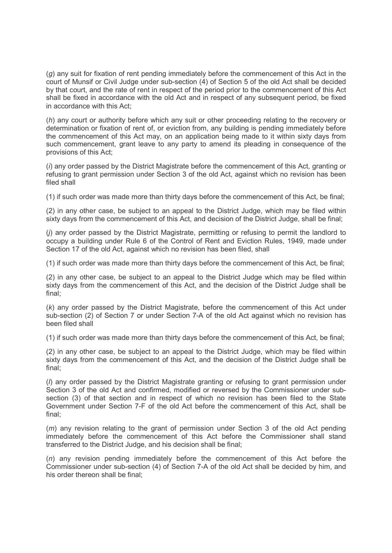(g) any suit for fixation of rent pending immediately before the commencement of this Act in the court of Munsif or Civil Judge under sub-section (4) of Section 5 of the old Act shall be decided by that court, and the rate of rent in respect of the period prior to the commencement of this Act shall be fixed in accordance with the old Act and in respect of any subsequent period, be fixed in accordance with this Act;

(h) any court or authority before which any suit or other proceeding relating to the recovery or determination or fixation of rent of, or eviction from, any building is pending immediately before the commencement of this Act may, on an application being made to it within sixty days from such commencement, grant leave to any party to amend its pleading in consequence of the provisions of this Act;

(i) any order passed by the District Magistrate before the commencement of this Act, granting or refusing to grant permission under Section 3 of the old Act, against which no revision has been filed shall

(1) if such order was made more than thirty days before the commencement of this Act, be final;

(2) in any other case, be subject to an appeal to the District Judge, which may be filed within sixty days from the commencement of this Act, and decision of the District Judge, shall be final;

(j) any order passed by the District Magistrate, permitting or refusing to permit the landlord to occupy a building under Rule 6 of the Control of Rent and Eviction Rules, 1949, made under Section 17 of the old Act, against which no revision has been filed, shall

(1) if such order was made more than thirty days before the commencement of this Act, be final;

(2) in any other case, be subject to an appeal to the District Judge which may be filed within sixty days from the commencement of this Act, and the decision of the District Judge shall be final;

(k) any order passed by the District Magistrate, before the commencement of this Act under sub-section (2) of Section 7 or under Section 7-A of the old Act against which no revision has been filed shall

(1) if such order was made more than thirty days before the commencement of this Act, be final;

(2) in any other case, be subject to an appeal to the District Judge, which may be filed within sixty days from the commencement of this Act, and the decision of the District Judge shall be final;

(*I*) any order passed by the District Magistrate granting or refusing to grant permission under Section 3 of the old Act and confirmed, modified or reversed by the Commissioner under subsection (3) of that section and in respect of which no revision has been filed to the State Government under Section 7-F of the old Act before the commencement of this Act, shall be final;

(*m*) any revision relating to the grant of permission under Section 3 of the old Act pending immediately before the commencement of this Act before the Commissioner shall stand transferred to the District Judge, and his decision shall be final;

(n) any revision pending immediately before the commencement of this Act before the Commissioner under sub-section (4) of Section 7-A of the old Act shall be decided by him, and his order thereon shall be final;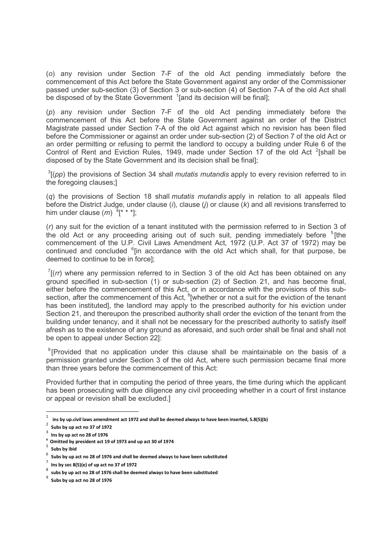(o) any revision under Section 7-F of the old Act pending immediately before the commencement of this Act before the State Government against any order of the Commissioner passed under sub-section (3) of Section 3 or sub-section (4) of Section 7-A of the old Act shall be disposed of by the State Government  $\frac{1}{2}$  and its decision will be final];

(p) any revision under Section 7-F of the old Act pending immediately before the commencement of this Act before the State Government against an order of the District Magistrate passed under Section 7-A of the old Act against which no revision has been filed before the Commissioner or against an order under sub-section (2) of Section 7 of the old Act or an order permitting or refusing to permit the landlord to occupy a building under Rule 6 of the Control of Rent and Eviction Rules, 1949, made under Section 17 of the old Act  $2$ [shall be disposed of by the State Government and its decision shall be final];

 $3$ [(pp) the provisions of Section 34 shall mutatis mutandis apply to every revision referred to in the foregoing clauses;]

 $(q)$  the provisions of Section 18 shall *mutatis mutandis* apply in relation to all appeals filed before the District Judge, under clause (i), clause (i) or clause  $(k)$  and all revisions transferred to him under clause  $(m)$   $\frac{1}{4}$ [\* \* \*];

(r) any suit for the eviction of a tenant instituted with the permission referred to in Section 3 of the old Act or any proceeding arising out of such suit, pending immediately before  $5$ [the commencement of the U.P. Civil Laws Amendment Act, 1972 (U.P. Act 37 of 1972) may be continued and concluded <sup>6</sup>[in accordance with the old Act which shall, for that purpose, be deemed to continue to be in force];

 $7$ [(rr) where any permission referred to in Section 3 of the old Act has been obtained on any ground specified in sub-section (1) or sub-section (2) of Section 21, and has become final, either before the commencement of this Act, or in accordance with the provisions of this subsection, after the commencement of this Act,  ${}^{8}$ [whether or not a suit for the eviction of the tenant has been instituted], the landlord may apply to the prescribed authority for his eviction under Section 21, and thereupon the prescribed authority shall order the eviction of the tenant from the building under tenancy, and it shall not be necessary for the prescribed authority to satisfy itself afresh as to the existence of any ground as aforesaid, and such order shall be final and shall not be open to appeal under Section 22]:

 $9$ [Provided that no application under this clause shall be maintainable on the basis of a permission granted under Section 3 of the old Act, where such permission became final more than three years before the commencement of this Act:

Provided further that in computing the period of three years, the time during which the applicant has been prosecuting with due diligence any civil proceeding whether in a court of first instance or appeal or revision shall be excluded.]

 $\frac{1}{1}$ ins by up.civil laws amendment act 1972 and shall be deemed always to have been inserted, S.8(5)(b)

<sup>2</sup> Subs by up act no 37 of 1972

 $3$  lns by up act no 28 of 1976

 $4$  Omitted by president act 19 of 1973 and up act 30 of 1974

<sup>5</sup> Subs by ibid

 $^6$  Subs by up act no 28 of 1976 and shall be deemed always to have been substituted

 $^7$  lns by sec 8(5)(e) of up act no 37 of 1972

<sup>8</sup> subs by up act no 28 of 1976 shall be deemed always to have been substituted

<sup>9</sup> Subs by up act no 28 of 1976